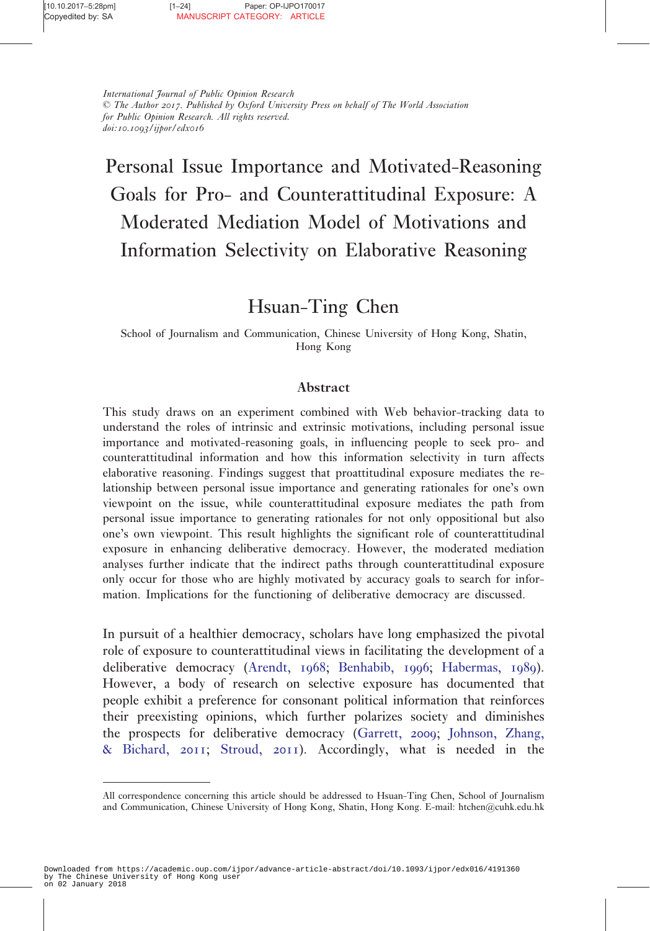International Journal of Public Opinion Research © The Author 2017. Published by Oxford University Press on behalf of The World Association for Public Opinion Research. All rights reserved. doi:10.1093/ijpor/edx016

Personal Issue Importance and Motivated-Reasoning Goals for Pro- and Counterattitudinal Exposure: A Moderated Mediation Model of Motivations and Information Selectivity on Elaborative Reasoning

# Hsuan-Ting Chen

School of Journalism and Communication, Chinese University of Hong Kong, Shatin, Hong Kong

## Abstract

This study draws on an experiment combined with Web behavior-tracking data to understand the roles of intrinsic and extrinsic motivations, including personal issue importance and motivated-reasoning goals, in influencing people to seek pro- and counterattitudinal information and how this information selectivity in turn affects elaborative reasoning. Findings suggest that proattitudinal exposure mediates the relationship between personal issue importance and generating rationales for one's own viewpoint on the issue, while counterattitudinal exposure mediates the path from personal issue importance to generating rationales for not only oppositional but also one's own viewpoint. This result highlights the significant role of counterattitudinal exposure in enhancing deliberative democracy. However, the moderated mediation analyses further indicate that the indirect paths through counterattitudinal exposure only occur for those who are highly motivated by accuracy goals to search for information. Implications for the functioning of deliberative democracy are discussed.

In pursuit of a healthier democracy, scholars have long emphasized the pivotal role of exposure to counterattitudinal views in facilitating the development of a deliberative democracy ([Arendt,](#page-20-0) 1968; [Benhabib,](#page-20-0) 1996; [Habermas,](#page-21-0) 1989). However, a body of research on selective exposure has documented that people exhibit a preference for consonant political information that reinforces their preexisting opinions, which further polarizes society and diminishes the prospects for deliberative democracy ([Garrett,](#page-20-0) 2009; [Johnson, Zhang,](#page-21-0) [& Bichard,](#page-21-0) 2011; [Stroud,](#page-22-0) 2011). Accordingly, what is needed in the

All correspondence concerning this article should be addressed to Hsuan-Ting Chen, School of Journalism and Communication, Chinese University of Hong Kong, Shatin, Hong Kong. E-mail: htchen@cuhk.edu.hk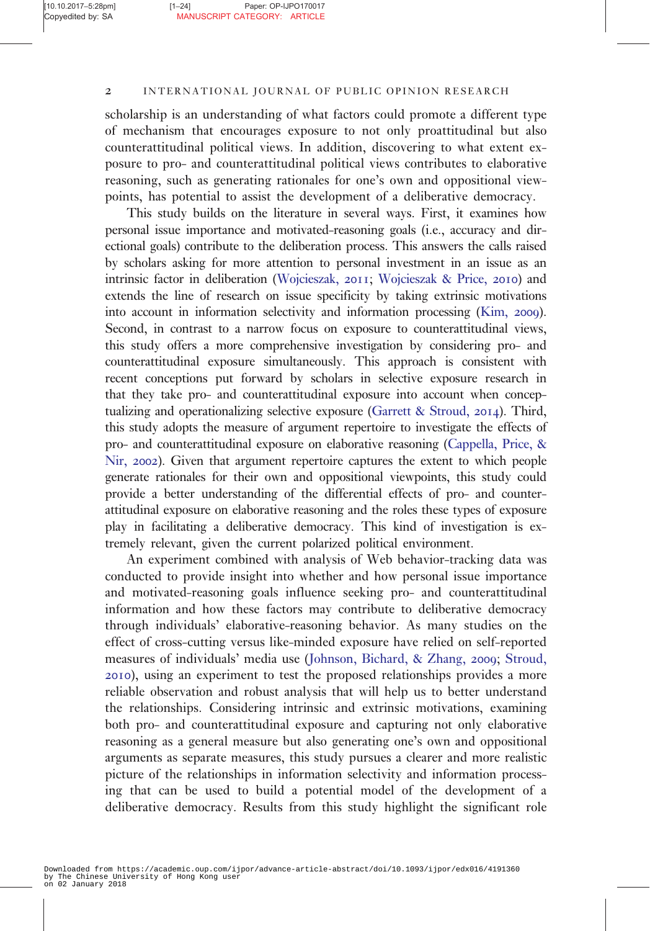scholarship is an understanding of what factors could promote a different type of mechanism that encourages exposure to not only proattitudinal but also counterattitudinal political views. In addition, discovering to what extent exposure to pro- and counterattitudinal political views contributes to elaborative reasoning, such as generating rationales for one's own and oppositional viewpoints, has potential to assist the development of a deliberative democracy.

This study builds on the literature in several ways. First, it examines how personal issue importance and motivated-reasoning goals (i.e., accuracy and directional goals) contribute to the deliberation process. This answers the calls raised by scholars asking for more attention to personal investment in an issue as an intrinsic factor in deliberation [\(Wojcieszak,](#page-23-0) 2011; [Wojcieszak & Price,](#page-23-0) 2010) and extends the line of research on issue specificity by taking extrinsic motivations into account in information selectivity and information processing [\(Kim,](#page-21-0) 2009). Second, in contrast to a narrow focus on exposure to counterattitudinal views, this study offers a more comprehensive investigation by considering pro- and counterattitudinal exposure simultaneously. This approach is consistent with recent conceptions put forward by scholars in selective exposure research in that they take pro- and counterattitudinal exposure into account when conceptualizing and operationalizing selective exposure [\(Garrett & Stroud,](#page-20-0) 2014). Third, this study adopts the measure of argument repertoire to investigate the effects of pro- and counterattitudinal exposure on elaborative reasoning ([Cappella, Price, &](#page-20-0) Nir, [2002](#page-20-0)). Given that argument repertoire captures the extent to which people generate rationales for their own and oppositional viewpoints, this study could provide a better understanding of the differential effects of pro- and counterattitudinal exposure on elaborative reasoning and the roles these types of exposure play in facilitating a deliberative democracy. This kind of investigation is extremely relevant, given the current polarized political environment.

An experiment combined with analysis of Web behavior-tracking data was conducted to provide insight into whether and how personal issue importance and motivated-reasoning goals influence seeking pro- and counterattitudinal information and how these factors may contribute to deliberative democracy through individuals' elaborative-reasoning behavior. As many studies on the effect of cross-cutting versus like-minded exposure have relied on self-reported measures of individuals' media use [\(Johnson, Bichard, & Zhang,](#page-21-0) 2009; [Stroud,](#page-22-0) [2010](#page-22-0)), using an experiment to test the proposed relationships provides a more reliable observation and robust analysis that will help us to better understand the relationships. Considering intrinsic and extrinsic motivations, examining both pro- and counterattitudinal exposure and capturing not only elaborative reasoning as a general measure but also generating one's own and oppositional arguments as separate measures, this study pursues a clearer and more realistic picture of the relationships in information selectivity and information processing that can be used to build a potential model of the development of a deliberative democracy. Results from this study highlight the significant role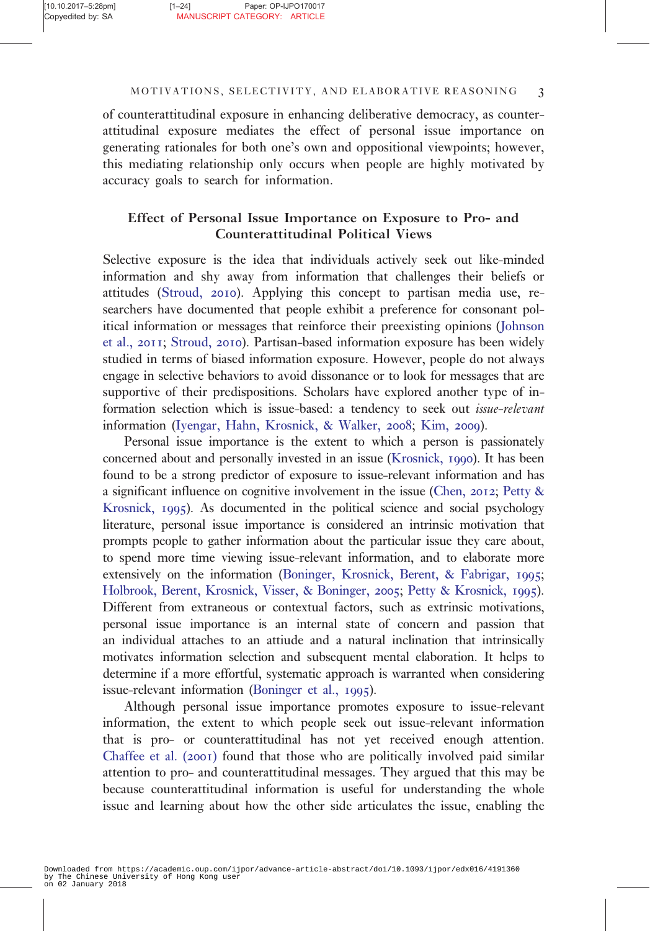of counterattitudinal exposure in enhancing deliberative democracy, as counterattitudinal exposure mediates the effect of personal issue importance on generating rationales for both one's own and oppositional viewpoints; however, this mediating relationship only occurs when people are highly motivated by accuracy goals to search for information.

# Effect of Personal Issue Importance on Exposure to Pro- and Counterattitudinal Political Views

Selective exposure is the idea that individuals actively seek out like-minded information and shy away from information that challenges their beliefs or attitudes [\(Stroud,](#page-22-0) 2010). Applying this concept to partisan media use, researchers have documented that people exhibit a preference for consonant political information or messages that reinforce their preexisting opinions [\(Johnson](#page-21-0) [et al.,](#page-21-0) 2011; [Stroud,](#page-22-0) 2010). Partisan-based information exposure has been widely studied in terms of biased information exposure. However, people do not always engage in selective behaviors to avoid dissonance or to look for messages that are supportive of their predispositions. Scholars have explored another type of information selection which is issue-based: a tendency to seek out issue-relevant information ([Iyengar, Hahn, Krosnick, & Walker,](#page-21-0) 2008; [Kim,](#page-21-0) 2009).

Personal issue importance is the extent to which a person is passionately concerned about and personally invested in an issue [\(Krosnick,](#page-22-0) 1990). It has been found to be a strong predictor of exposure to issue-relevant information and has a significant influence on cognitive involvement in the issue ([Chen,](#page-20-0) 2012; [Petty &](#page-22-0) [Krosnick,](#page-22-0) 1995). As documented in the political science and social psychology literature, personal issue importance is considered an intrinsic motivation that prompts people to gather information about the particular issue they care about, to spend more time viewing issue-relevant information, and to elaborate more extensively on the information [\(Boninger, Krosnick, Berent, & Fabrigar,](#page-20-0) 1995; [Holbrook, Berent, Krosnick, Visser, & Boninger,](#page-21-0) 2005; [Petty & Krosnick,](#page-22-0) 1995). Different from extraneous or contextual factors, such as extrinsic motivations, personal issue importance is an internal state of concern and passion that an individual attaches to an attiude and a natural inclination that intrinsically motivates information selection and subsequent mental elaboration. It helps to determine if a more effortful, systematic approach is warranted when considering issue-relevant information ([Boninger et al.,](#page-20-0) 1995).

Although personal issue importance promotes exposure to issue-relevant information, the extent to which people seek out issue-relevant information that is pro- or counterattitudinal has not yet received enough attention. [Chaffee et al. \(](#page-20-0)2001) found that those who are politically involved paid similar attention to pro- and counterattitudinal messages. They argued that this may be because counterattitudinal information is useful for understanding the whole issue and learning about how the other side articulates the issue, enabling the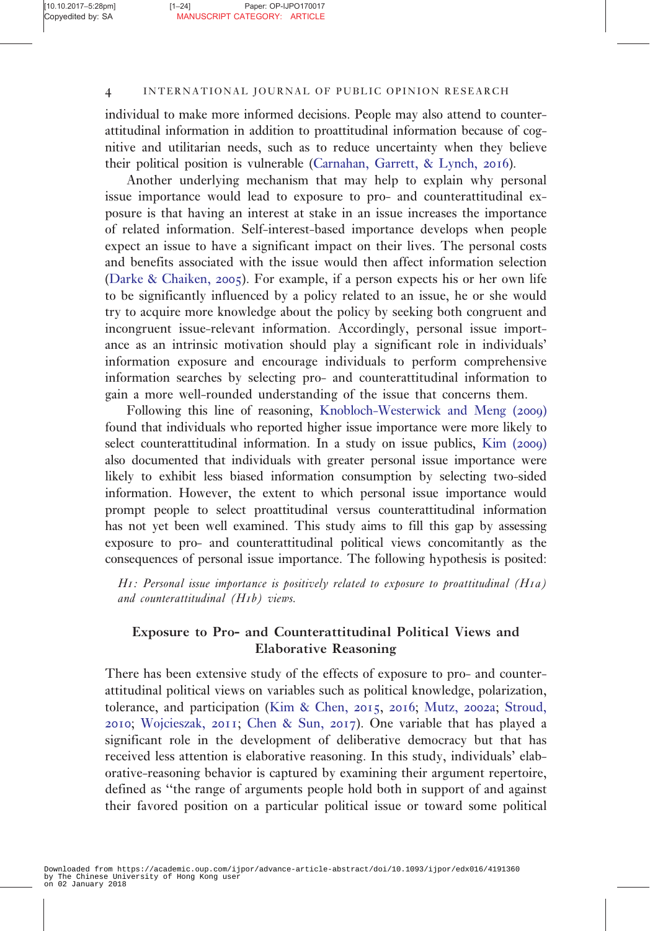individual to make more informed decisions. People may also attend to counterattitudinal information in addition to proattitudinal information because of cognitive and utilitarian needs, such as to reduce uncertainty when they believe their political position is vulnerable ([Carnahan, Garrett, & Lynch,](#page-20-0) 2016).

Another underlying mechanism that may help to explain why personal issue importance would lead to exposure to pro- and counterattitudinal exposure is that having an interest at stake in an issue increases the importance of related information. Self-interest-based importance develops when people expect an issue to have a significant impact on their lives. The personal costs and benefits associated with the issue would then affect information selection [\(Darke & Chaiken,](#page-20-0) 2005). For example, if a person expects his or her own life to be significantly influenced by a policy related to an issue, he or she would try to acquire more knowledge about the policy by seeking both congruent and incongruent issue-relevant information. Accordingly, personal issue importance as an intrinsic motivation should play a significant role in individuals' information exposure and encourage individuals to perform comprehensive information searches by selecting pro- and counterattitudinal information to gain a more well-rounded understanding of the issue that concerns them.

Following this line of reasoning, [Knobloch-Westerwick and Meng \(](#page-22-0)2009) found that individuals who reported higher issue importance were more likely to select counterattitudinal information. In a study on issue publics, [Kim \(](#page-21-0)2009) also documented that individuals with greater personal issue importance were likely to exhibit less biased information consumption by selecting two-sided information. However, the extent to which personal issue importance would prompt people to select proattitudinal versus counterattitudinal information has not yet been well examined. This study aims to fill this gap by assessing exposure to pro- and counterattitudinal political views concomitantly as the consequences of personal issue importance. The following hypothesis is posited:

 $H_1$ : Personal issue importance is positively related to exposure to proattitudinal ( $H_{1a}$ ) and counterattitudinal (H1b) views.

# Exposure to Pro- and Counterattitudinal Political Views and Elaborative Reasoning

There has been extensive study of the effects of exposure to pro- and counterattitudinal political views on variables such as political knowledge, polarization, tolerance, and participation [\(Kim & Chen,](#page-21-0) 2015, [2016](#page-21-0); [Mutz,](#page-22-0) 2002a; [Stroud,](#page-22-0) [2010](#page-22-0); [Wojcieszak,](#page-23-0) 2011; [Chen & Sun,](#page-20-0) 2017). One variable that has played a significant role in the development of deliberative democracy but that has received less attention is elaborative reasoning. In this study, individuals' elaborative-reasoning behavior is captured by examining their argument repertoire, defined as ''the range of arguments people hold both in support of and against their favored position on a particular political issue or toward some political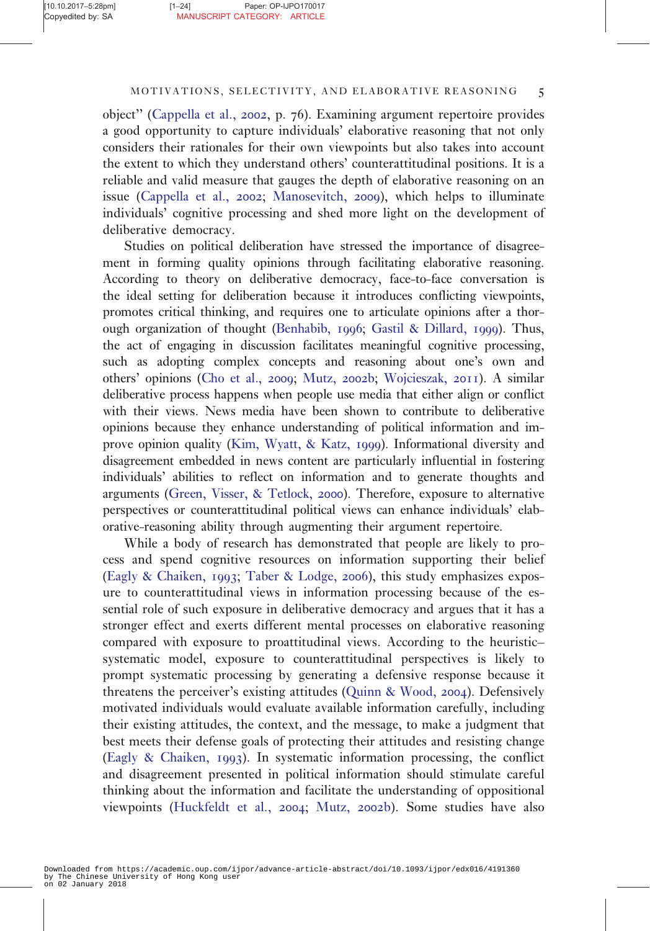object'' ([Cappella et al.,](#page-20-0) 2002, p. 76). Examining argument repertoire provides a good opportunity to capture individuals' elaborative reasoning that not only considers their rationales for their own viewpoints but also takes into account the extent to which they understand others' counterattitudinal positions. It is a reliable and valid measure that gauges the depth of elaborative reasoning on an issue ([Cappella et al.,](#page-20-0) 2002; [Manosevitch,](#page-22-0) 2009), which helps to illuminate individuals' cognitive processing and shed more light on the development of deliberative democracy.

Studies on political deliberation have stressed the importance of disagreement in forming quality opinions through facilitating elaborative reasoning. According to theory on deliberative democracy, face-to-face conversation is the ideal setting for deliberation because it introduces conflicting viewpoints, promotes critical thinking, and requires one to articulate opinions after a thorough organization of thought ([Benhabib,](#page-20-0) 1996; [Gastil & Dillard,](#page-20-0) 1999). Thus, the act of engaging in discussion facilitates meaningful cognitive processing, such as adopting complex concepts and reasoning about one's own and others' opinions ([Cho et al.,](#page-20-0) 2009; [Mutz,](#page-22-0) 2002b; [Wojcieszak,](#page-23-0) 2011). A similar deliberative process happens when people use media that either align or conflict with their views. News media have been shown to contribute to deliberative opinions because they enhance understanding of political information and improve opinion quality [\(Kim, Wyatt, & Katz,](#page-21-0) 1999). Informational diversity and disagreement embedded in news content are particularly influential in fostering individuals' abilities to reflect on information and to generate thoughts and arguments [\(Green, Visser, & Tetlock,](#page-20-0) 2000). Therefore, exposure to alternative perspectives or counterattitudinal political views can enhance individuals' elaborative-reasoning ability through augmenting their argument repertoire.

While a body of research has demonstrated that people are likely to process and spend cognitive resources on information supporting their belief [\(Eagly & Chaiken,](#page-20-0) 1993; [Taber & Lodge,](#page-23-0) 2006), this study emphasizes exposure to counterattitudinal views in information processing because of the essential role of such exposure in deliberative democracy and argues that it has a stronger effect and exerts different mental processes on elaborative reasoning compared with exposure to proattitudinal views. According to the heuristic– systematic model, exposure to counterattitudinal perspectives is likely to prompt systematic processing by generating a defensive response because it threatens the perceiver's existing attitudes ([Quinn & Wood,](#page-22-0) 2004). Defensively motivated individuals would evaluate available information carefully, including their existing attitudes, the context, and the message, to make a judgment that best meets their defense goals of protecting their attitudes and resisting change [\(Eagly & Chaiken,](#page-20-0) 1993). In systematic information processing, the conflict and disagreement presented in political information should stimulate careful thinking about the information and facilitate the understanding of oppositional viewpoints [\(Huckfeldt et al.,](#page-21-0) 2004; [Mutz,](#page-22-0) 2002b). Some studies have also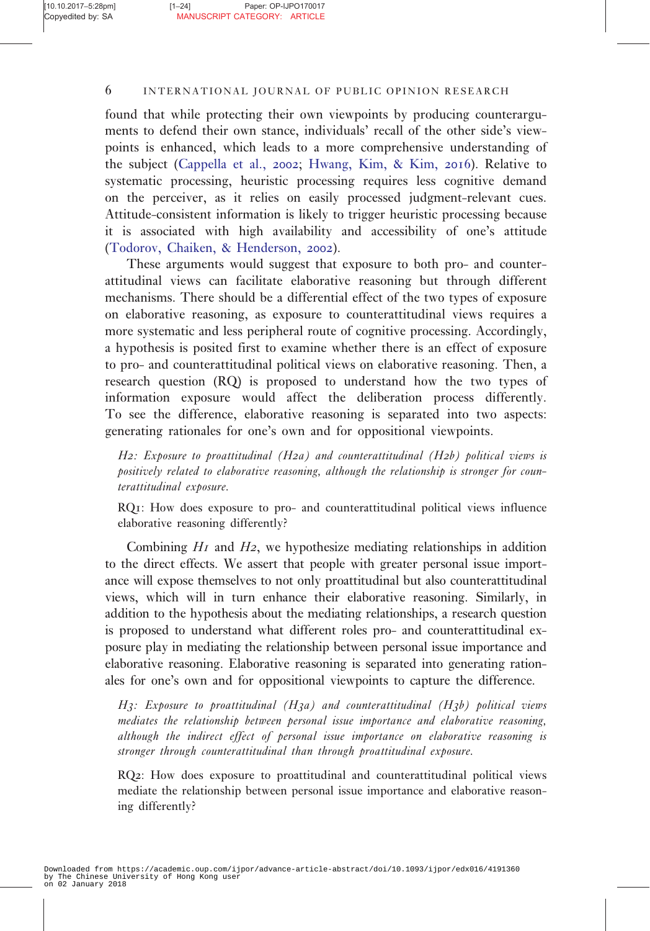found that while protecting their own viewpoints by producing counterarguments to defend their own stance, individuals' recall of the other side's viewpoints is enhanced, which leads to a more comprehensive understanding of the subject ([Cappella et al.,](#page-20-0) 2002; [Hwang, Kim, & Kim,](#page-21-0) 2016). Relative to systematic processing, heuristic processing requires less cognitive demand on the perceiver, as it relies on easily processed judgment-relevant cues. Attitude-consistent information is likely to trigger heuristic processing because it is associated with high availability and accessibility of one's attitude [\(Todorov, Chaiken, & Henderson,](#page-23-0) 2002).

These arguments would suggest that exposure to both pro- and counterattitudinal views can facilitate elaborative reasoning but through different mechanisms. There should be a differential effect of the two types of exposure on elaborative reasoning, as exposure to counterattitudinal views requires a more systematic and less peripheral route of cognitive processing. Accordingly, a hypothesis is posited first to examine whether there is an effect of exposure to pro- and counterattitudinal political views on elaborative reasoning. Then, a research question (RQ) is proposed to understand how the two types of information exposure would affect the deliberation process differently. To see the difference, elaborative reasoning is separated into two aspects: generating rationales for one's own and for oppositional viewpoints.

H2: Exposure to proattitudinal (H2a) and counterattitudinal (H2b) political views is positively related to elaborative reasoning, although the relationship is stronger for counterattitudinal exposure.

RQ1: How does exposure to pro- and counterattitudinal political views influence elaborative reasoning differently?

Combining  $H_1$  and  $H_2$ , we hypothesize mediating relationships in addition to the direct effects. We assert that people with greater personal issue importance will expose themselves to not only proattitudinal but also counterattitudinal views, which will in turn enhance their elaborative reasoning. Similarly, in addition to the hypothesis about the mediating relationships, a research question is proposed to understand what different roles pro- and counterattitudinal exposure play in mediating the relationship between personal issue importance and elaborative reasoning. Elaborative reasoning is separated into generating rationales for one's own and for oppositional viewpoints to capture the difference.

 $H_3$ : Exposure to proattitudinal ( $H_3$ a) and counterattitudinal ( $H_3$ b) political views mediates the relationship between personal issue importance and elaborative reasoning, although the indirect effect of personal issue importance on elaborative reasoning is stronger through counterattitudinal than through proattitudinal exposure.

RQ2: How does exposure to proattitudinal and counterattitudinal political views mediate the relationship between personal issue importance and elaborative reasoning differently?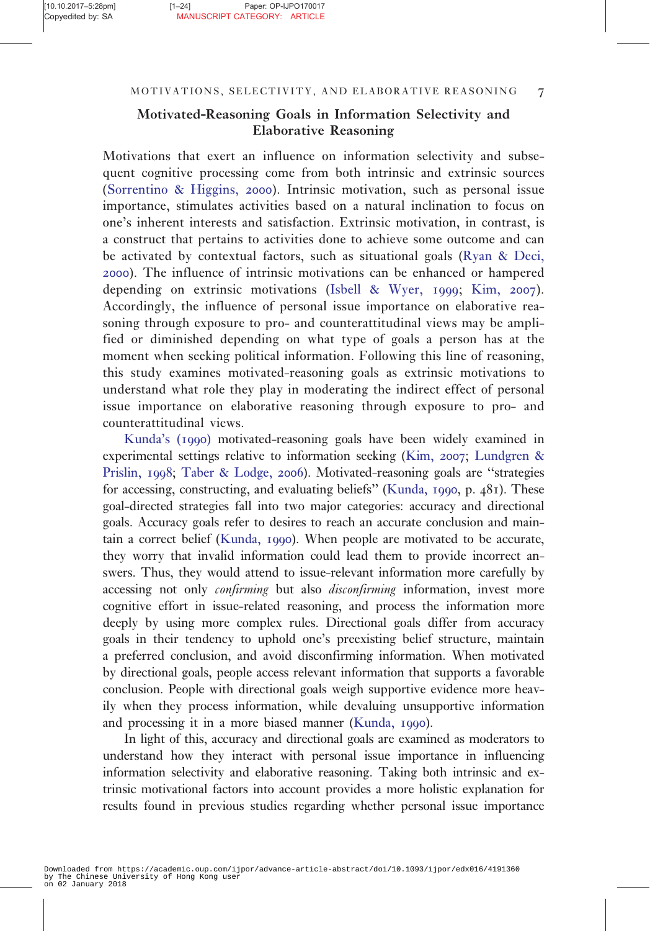# Motivated-Reasoning Goals in Information Selectivity and Elaborative Reasoning

Motivations that exert an influence on information selectivity and subsequent cognitive processing come from both intrinsic and extrinsic sources ([Sorrentino & Higgins,](#page-22-0) 2000). Intrinsic motivation, such as personal issue importance, stimulates activities based on a natural inclination to focus on one's inherent interests and satisfaction. Extrinsic motivation, in contrast, is a construct that pertains to activities done to achieve some outcome and can be activated by contextual factors, such as situational goals ([Ryan & Deci,](#page-22-0) [2000](#page-22-0)). The influence of intrinsic motivations can be enhanced or hampered depending on extrinsic motivations [\(Isbell & Wyer,](#page-21-0) 1999; [Kim,](#page-21-0) 2007). Accordingly, the influence of personal issue importance on elaborative reasoning through exposure to pro- and counterattitudinal views may be amplified or diminished depending on what type of goals a person has at the moment when seeking political information. Following this line of reasoning, this study examines motivated-reasoning goals as extrinsic motivations to understand what role they play in moderating the indirect effect of personal issue importance on elaborative reasoning through exposure to pro- and counterattitudinal views.

[Kunda's \(](#page-22-0)1990) motivated-reasoning goals have been widely examined in experimental settings relative to information seeking ([Kim,](#page-21-0) 2007; [Lundgren &](#page-22-0) [Prislin,](#page-22-0) 1998; [Taber & Lodge,](#page-23-0) 2006). Motivated-reasoning goals are ''strategies for accessing, constructing, and evaluating beliefs'' ([Kunda,](#page-22-0) 1990, p. 481). These goal-directed strategies fall into two major categories: accuracy and directional goals. Accuracy goals refer to desires to reach an accurate conclusion and maintain a correct belief ([Kunda,](#page-22-0) 1990). When people are motivated to be accurate, they worry that invalid information could lead them to provide incorrect answers. Thus, they would attend to issue-relevant information more carefully by accessing not only *confirming* but also *disconfirming* information, invest more cognitive effort in issue-related reasoning, and process the information more deeply by using more complex rules. Directional goals differ from accuracy goals in their tendency to uphold one's preexisting belief structure, maintain a preferred conclusion, and avoid disconfirming information. When motivated by directional goals, people access relevant information that supports a favorable conclusion. People with directional goals weigh supportive evidence more heavily when they process information, while devaluing unsupportive information and processing it in a more biased manner ([Kunda,](#page-22-0) 1990).

In light of this, accuracy and directional goals are examined as moderators to understand how they interact with personal issue importance in influencing information selectivity and elaborative reasoning. Taking both intrinsic and extrinsic motivational factors into account provides a more holistic explanation for results found in previous studies regarding whether personal issue importance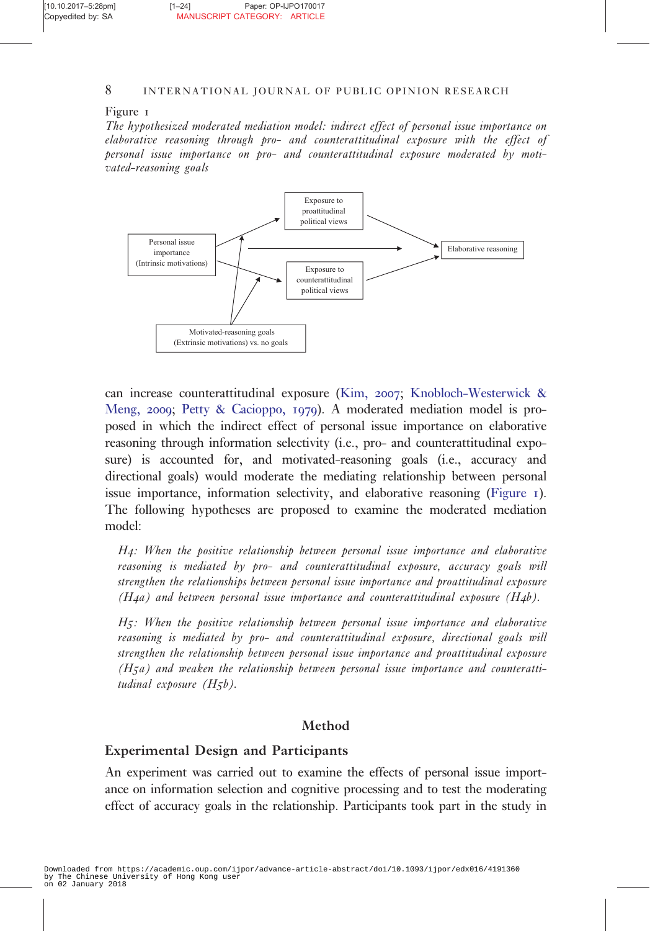#### Figure 1

The hypothesized moderated mediation model: indirect effect of personal issue importance on elaborative reasoning through pro- and counterattitudinal exposure with the effect of personal issue importance on pro- and counterattitudinal exposure moderated by motivated-reasoning goals



can increase counterattitudinal exposure [\(Kim,](#page-21-0) 2007; [Knobloch-Westerwick &](#page-22-0) [Meng,](#page-22-0) 2009; [Petty & Cacioppo,](#page-22-0) 1979). A moderated mediation model is proposed in which the indirect effect of personal issue importance on elaborative reasoning through information selectivity (i.e., pro- and counterattitudinal exposure) is accounted for, and motivated-reasoning goals (i.e., accuracy and directional goals) would moderate the mediating relationship between personal issue importance, information selectivity, and elaborative reasoning (Figure 1). The following hypotheses are proposed to examine the moderated mediation model:

H4: When the positive relationship between personal issue importance and elaborative reasoning is mediated by pro- and counterattitudinal exposure, accuracy goals will strengthen the relationships between personal issue importance and proattitudinal exposure  $(H<sub>4a</sub>)$  and between personal issue importance and counterattitudinal exposure  $(H<sub>4b</sub>)$ .

H5: When the positive relationship between personal issue importance and elaborative reasoning is mediated by pro- and counterattitudinal exposure, directional goals will strengthen the relationship between personal issue importance and proattitudinal exposure  $(H_5a)$  and weaken the relationship between personal issue importance and counterattitudinal exposure  $(H_5b)$ .

# Method

## Experimental Design and Participants

An experiment was carried out to examine the effects of personal issue importance on information selection and cognitive processing and to test the moderating effect of accuracy goals in the relationship. Participants took part in the study in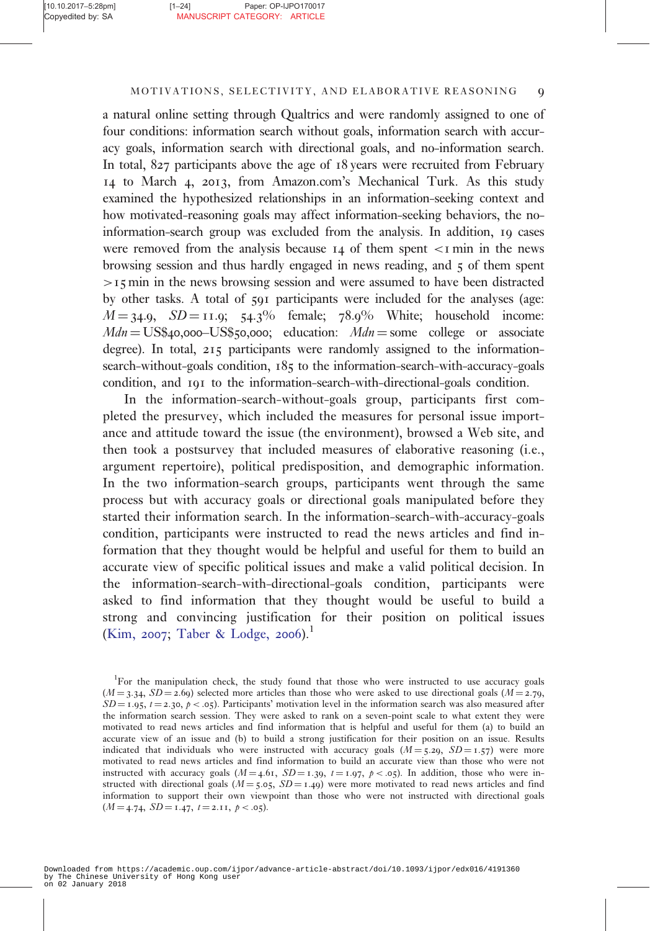a natural online setting through Qualtrics and were randomly assigned to one of four conditions: information search without goals, information search with accuracy goals, information search with directional goals, and no-information search. In total, 827 participants above the age of 18 years were recruited from February 14 to March 4, 2013, from Amazon.com's Mechanical Turk. As this study examined the hypothesized relationships in an information-seeking context and how motivated-reasoning goals may affect information-seeking behaviors, the noinformation-search group was excluded from the analysis. In addition, 19 cases were removed from the analysis because  $I_4$  of them spent  $\lt I$  min in the news browsing session and thus hardly engaged in news reading, and 5 of them spent  $>15$  min in the news browsing session and were assumed to have been distracted by other tasks. A total of  $\overline{591}$  participants were included for the analyses (age:  $M = 34.9$ ,  $SD = 11.9$ ;  $54.3\%$  female;  $78.9\%$  White; household income:  $Mdn = US\$ 40,000–US\$50,000; education:  $Mdn =$ some college or associate degree). In total, 215 participants were randomly assigned to the informationsearch-without-goals condition, 185 to the information-search-with-accuracy-goals condition, and 191 to the information-search-with-directional-goals condition.

In the information-search-without-goals group, participants first completed the presurvey, which included the measures for personal issue importance and attitude toward the issue (the environment), browsed a Web site, and then took a postsurvey that included measures of elaborative reasoning (i.e., argument repertoire), political predisposition, and demographic information. In the two information-search groups, participants went through the same process but with accuracy goals or directional goals manipulated before they started their information search. In the information-search-with-accuracy-goals condition, participants were instructed to read the news articles and find information that they thought would be helpful and useful for them to build an accurate view of specific political issues and make a valid political decision. In the information-search-with-directional-goals condition, participants were asked to find information that they thought would be useful to build a strong and convincing justification for their position on political issues [\(Kim,](#page-21-0) 2007; [Taber & Lodge,](#page-23-0) 2006).<sup>1</sup>

<sup>&</sup>lt;sup>1</sup>For the manipulation check, the study found that those who were instructed to use accuracy goals  $(M = 3.34, SD = 2.69)$  selected more articles than those who were asked to use directional goals  $(M = 2.79,$  $SD = 1.95$ ,  $t = 2.30$ ,  $p < .05$ ). Participants' motivation level in the information search was also measured after the information search session. They were asked to rank on a seven-point scale to what extent they were motivated to read news articles and find information that is helpful and useful for them (a) to build an accurate view of an issue and (b) to build a strong justification for their position on an issue. Results indicated that individuals who were instructed with accuracy goals  $(M = 5.29, SD = 1.57)$  were more motivated to read news articles and find information to build an accurate view than those who were not instructed with accuracy goals  $(M = 4.61, SD = 1.39, t = 1.97, p < .05)$ . In addition, those who were instructed with directional goals ( $M = 5.05$ ,  $SD = 1.49$ ) were more motivated to read news articles and find information to support their own viewpoint than those who were not instructed with directional goals  $(M = 4.74, SD = 1.47, t = 2.11, p < .05).$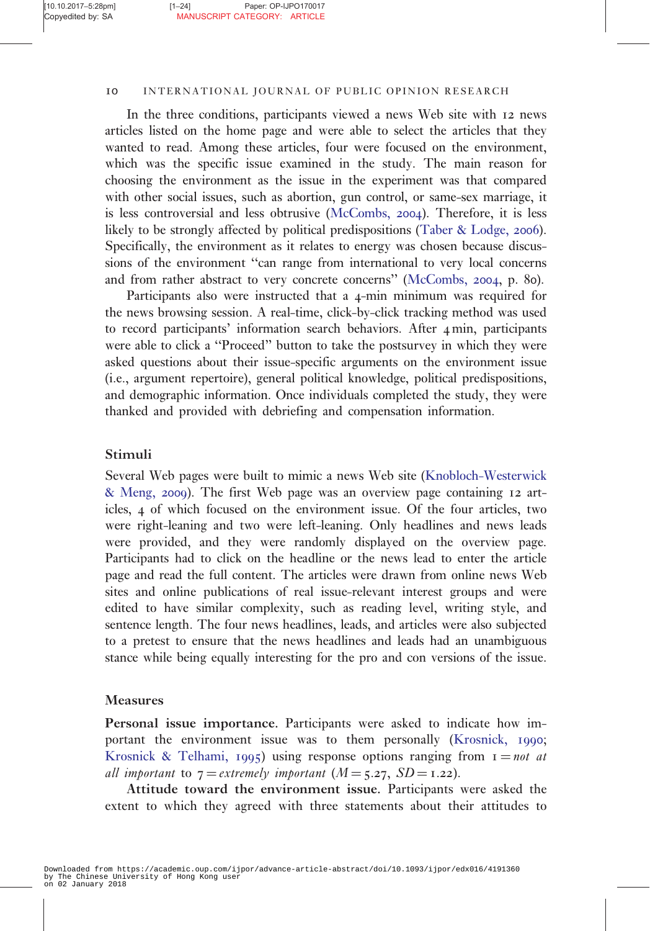In the three conditions, participants viewed a news Web site with 12 news articles listed on the home page and were able to select the articles that they wanted to read. Among these articles, four were focused on the environment, which was the specific issue examined in the study. The main reason for choosing the environment as the issue in the experiment was that compared with other social issues, such as abortion, gun control, or same-sex marriage, it is less controversial and less obtrusive [\(McCombs,](#page-22-0) 2004). Therefore, it is less likely to be strongly affected by political predispositions ([Taber & Lodge,](#page-23-0) 2006). Specifically, the environment as it relates to energy was chosen because discussions of the environment "can range from international to very local concerns and from rather abstract to very concrete concerns'' ([McCombs,](#page-22-0) 2004, p. 80).

Participants also were instructed that a 4-min minimum was required for the news browsing session. A real-time, click-by-click tracking method was used to record participants' information search behaviors. After 4 min, participants were able to click a ''Proceed'' button to take the postsurvey in which they were asked questions about their issue-specific arguments on the environment issue (i.e., argument repertoire), general political knowledge, political predispositions, and demographic information. Once individuals completed the study, they were thanked and provided with debriefing and compensation information.

## Stimuli

Several Web pages were built to mimic a news Web site [\(Knobloch-Westerwick](#page-22-0) [& Meng,](#page-22-0) 2009). The first Web page was an overview page containing 12 articles, 4 of which focused on the environment issue. Of the four articles, two were right-leaning and two were left-leaning. Only headlines and news leads were provided, and they were randomly displayed on the overview page. Participants had to click on the headline or the news lead to enter the article page and read the full content. The articles were drawn from online news Web sites and online publications of real issue-relevant interest groups and were edited to have similar complexity, such as reading level, writing style, and sentence length. The four news headlines, leads, and articles were also subjected to a pretest to ensure that the news headlines and leads had an unambiguous stance while being equally interesting for the pro and con versions of the issue.

## Measures

Personal issue importance. Participants were asked to indicate how important the environment issue was to them personally [\(Krosnick,](#page-22-0) 1990; [Krosnick & Telhami,](#page-22-0) 1995) using response options ranging from  $I = not$  at all important to  $\tau =$  extremely important  $(M = 5.27, SD = 1.22)$ .

Attitude toward the environment issue. Participants were asked the extent to which they agreed with three statements about their attitudes to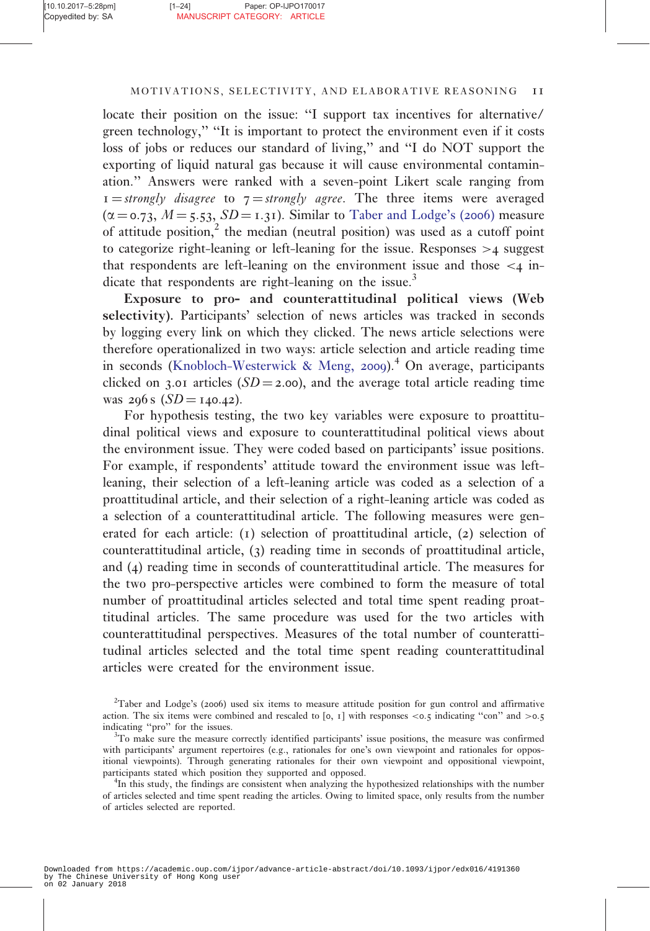locate their position on the issue: "I support tax incentives for alternative/ green technology,'' ''It is important to protect the environment even if it costs loss of jobs or reduces our standard of living,'' and ''I do NOT support the exporting of liquid natural gas because it will cause environmental contamination.'' Answers were ranked with a seven-point Likert scale ranging from  $1 = \frac{strongly}{disagree}$  to  $7 = \frac{strongly}{ascrete}$ . The three items were averaged  $(\alpha = 0.73, M = 5.53, SD = 1.31)$ . Similar to [Taber and Lodge's \(](#page-23-0)2006) measure of attitude position, $^2$  the median (neutral position) was used as a cutoff point to categorize right-leaning or left-leaning for the issue. Responses >4 suggest that respondents are left-leaning on the environment issue and those  $\lt 4$  indicate that respondents are right-leaning on the issue.<sup>3</sup>

Exposure to pro- and counterattitudinal political views (Web selectivity). Participants' selection of news articles was tracked in seconds by logging every link on which they clicked. The news article selections were therefore operationalized in two ways: article selection and article reading time in seconds [\(Knobloch-Westerwick & Meng,](#page-22-0) 2009).<sup>4</sup> On average, participants clicked on 3.01 articles  $(SD = 2.00)$ , and the average total article reading time was 296 s  $(SD = 140.42)$ .

For hypothesis testing, the two key variables were exposure to proattitudinal political views and exposure to counterattitudinal political views about the environment issue. They were coded based on participants' issue positions. For example, if respondents' attitude toward the environment issue was leftleaning, their selection of a left-leaning article was coded as a selection of a proattitudinal article, and their selection of a right-leaning article was coded as a selection of a counterattitudinal article. The following measures were generated for each article:  $(i)$  selection of proattitudinal article,  $(i)$  selection of counterattitudinal article, (3) reading time in seconds of proattitudinal article, and (4) reading time in seconds of counterattitudinal article. The measures for the two pro-perspective articles were combined to form the measure of total number of proattitudinal articles selected and total time spent reading proattitudinal articles. The same procedure was used for the two articles with counterattitudinal perspectives. Measures of the total number of counterattitudinal articles selected and the total time spent reading counterattitudinal articles were created for the environment issue.

 ${}^{2}$ Taber and Lodge's (2006) used six items to measure attitude position for gun control and affirmative action. The six items were combined and rescaled to  $[0, 1]$  with responses  $\lt 0.5$  indicating "con" and  $>0.5$ indicating "pro" for the issues.

 ${}^{3}$ To make sure the measure correctly identified participants' issue positions, the measure was confirmed with participants' argument repertoires (e.g., rationales for one's own viewpoint and rationales for oppositional viewpoints). Through generating rationales for their own viewpoint and oppositional viewpoint, participants stated which position they supported and opposed. <sup>4</sup>

 $<sup>4</sup>$ In this study, the findings are consistent when analyzing the hypothesized relationships with the number</sup> of articles selected and time spent reading the articles. Owing to limited space, only results from the number of articles selected are reported.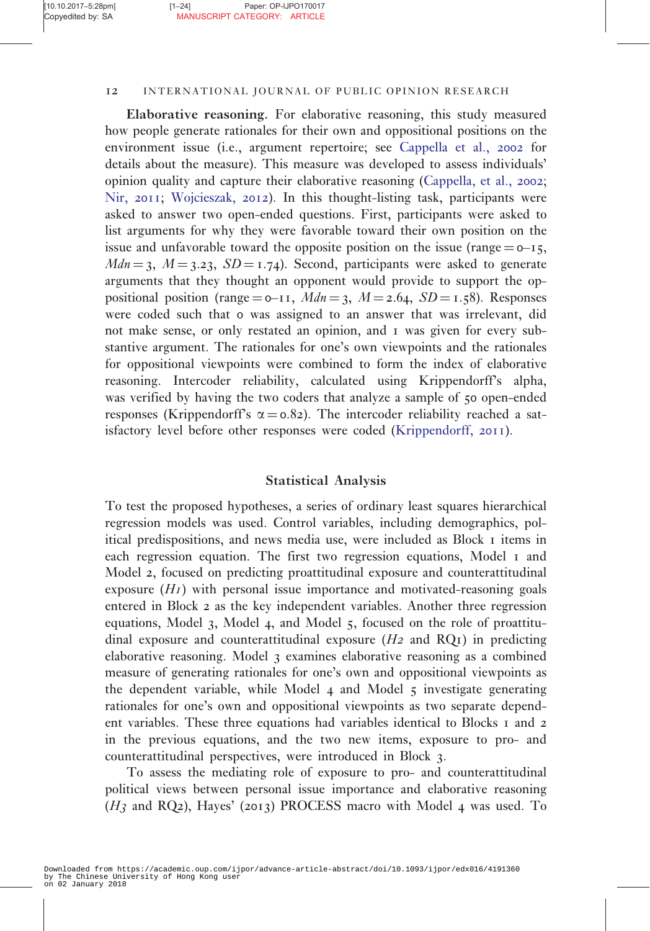Elaborative reasoning. For elaborative reasoning, this study measured how people generate rationales for their own and oppositional positions on the environment issue (i.e., argument repertoire; see [Cappella et al.,](#page-20-0) 2002 for details about the measure). This measure was developed to assess individuals' opinion quality and capture their elaborative reasoning ([Cappella, et al.,](#page-20-0) 2002; Nir, [2011](#page-22-0); [Wojcieszak,](#page-23-0) 2012). In this thought-listing task, participants were asked to answer two open-ended questions. First, participants were asked to list arguments for why they were favorable toward their own position on the issue and unfavorable toward the opposite position on the issue (range  $= 0 - 15$ ,  $Mdn = 3$ ,  $M = 3.23$ ,  $SD = 1.74$ ). Second, participants were asked to generate arguments that they thought an opponent would provide to support the oppositional position (range  $= 0$ –11,  $Mdn = 3$ ,  $M = 2.64$ ,  $SD = 1.58$ ). Responses were coded such that 0 was assigned to an answer that was irrelevant, did not make sense, or only restated an opinion, and 1 was given for every substantive argument. The rationales for one's own viewpoints and the rationales for oppositional viewpoints were combined to form the index of elaborative reasoning. Intercoder reliability, calculated using Krippendorff's alpha, was verified by having the two coders that analyze a sample of 50 open-ended responses (Krippendorff's  $\alpha = 0.82$ ). The intercoder reliability reached a satisfactory level before other responses were coded ([Krippendorff,](#page-22-0) 2011).

# Statistical Analysis

To test the proposed hypotheses, a series of ordinary least squares hierarchical regression models was used. Control variables, including demographics, political predispositions, and news media use, were included as Block 1 items in each regression equation. The first two regression equations, Model 1 and Model 2, focused on predicting proattitudinal exposure and counterattitudinal exposure  $(H)$  with personal issue importance and motivated-reasoning goals entered in Block 2 as the key independent variables. Another three regression equations, Model 3, Model 4, and Model 5, focused on the role of proattitudinal exposure and counterattitudinal exposure  $(H_2 \text{ and } RQ_1)$  in predicting elaborative reasoning. Model 3 examines elaborative reasoning as a combined measure of generating rationales for one's own and oppositional viewpoints as the dependent variable, while Model 4 and Model 5 investigate generating rationales for one's own and oppositional viewpoints as two separate dependent variables. These three equations had variables identical to Blocks 1 and 2 in the previous equations, and the two new items, exposure to pro- and counterattitudinal perspectives, were introduced in Block 3.

To assess the mediating role of exposure to pro- and counterattitudinal political views between personal issue importance and elaborative reasoning  $(H<sub>3</sub>$  and RQ2), Hayes' (2013) PROCESS macro with Model 4 was used. To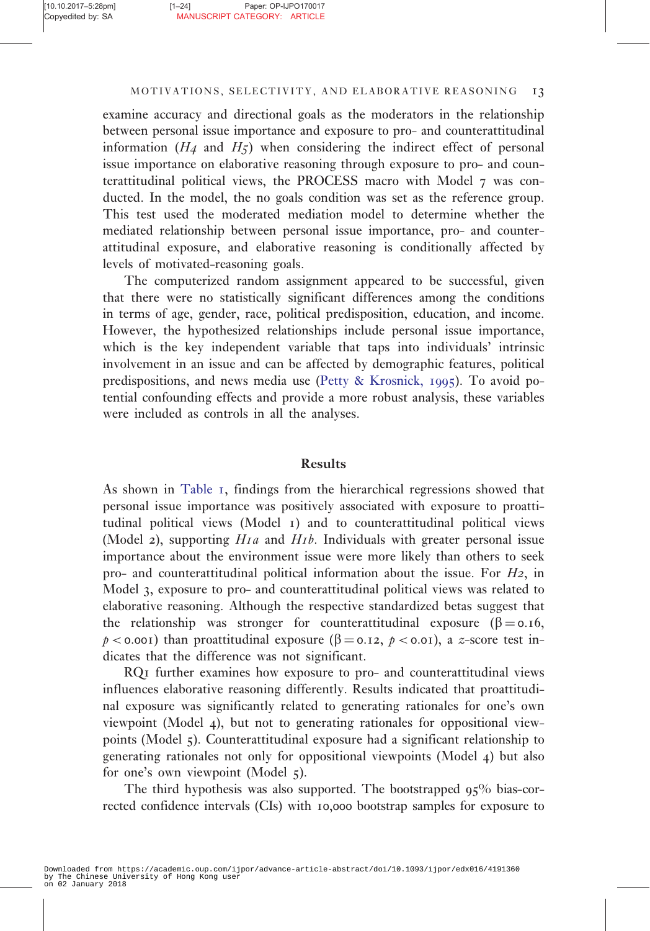examine accuracy and directional goals as the moderators in the relationship between personal issue importance and exposure to pro- and counterattitudinal information  $(H_4$  and  $H_5$ ) when considering the indirect effect of personal issue importance on elaborative reasoning through exposure to pro- and counterattitudinal political views, the PROCESS macro with Model 7 was conducted. In the model, the no goals condition was set as the reference group. This test used the moderated mediation model to determine whether the mediated relationship between personal issue importance, pro- and counterattitudinal exposure, and elaborative reasoning is conditionally affected by levels of motivated-reasoning goals.

The computerized random assignment appeared to be successful, given that there were no statistically significant differences among the conditions in terms of age, gender, race, political predisposition, education, and income. However, the hypothesized relationships include personal issue importance, which is the key independent variable that taps into individuals' intrinsic involvement in an issue and can be affected by demographic features, political predispositions, and news media use [\(Petty & Krosnick,](#page-22-0) 1995). To avoid potential confounding effects and provide a more robust analysis, these variables were included as controls in all the analyses.

#### **Results**

As shown in [Table](#page-13-0) 1, findings from the hierarchical regressions showed that personal issue importance was positively associated with exposure to proattitudinal political views (Model 1) and to counterattitudinal political views (Model 2), supporting  $H_{Ia}$  and  $H_{Ib}$ . Individuals with greater personal issue importance about the environment issue were more likely than others to seek pro- and counterattitudinal political information about the issue. For  $H_2$ , in Model 3, exposure to pro- and counterattitudinal political views was related to elaborative reasoning. Although the respective standardized betas suggest that the relationship was stronger for counterattitudinal exposure  $(\beta = 0.16,$  $p < 0.001$ ) than proattitudinal exposure ( $\beta = 0.12$ ,  $p < 0.01$ ), a z-score test indicates that the difference was not significant.

RQ1 further examines how exposure to pro- and counterattitudinal views influences elaborative reasoning differently. Results indicated that proattitudinal exposure was significantly related to generating rationales for one's own viewpoint (Model 4), but not to generating rationales for oppositional viewpoints (Model 5). Counterattitudinal exposure had a significant relationship to generating rationales not only for oppositional viewpoints (Model 4) but also for one's own viewpoint (Model 5).

The third hypothesis was also supported. The bootstrapped 95% bias-corrected confidence intervals (CIs) with 10,000 bootstrap samples for exposure to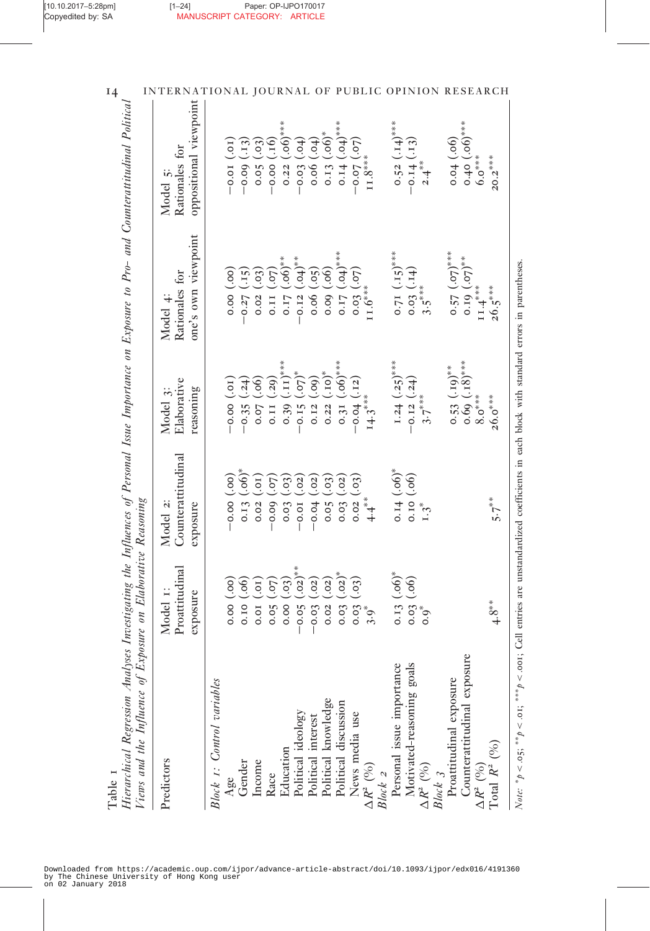<span id="page-13-0"></span>

| Hierarchical Regression Analyses Investigating the Influences of Personal Issue Importance on Exposure to Pro- and Counterattitudinal Political<br>Views and the Influence of Exposure on Elaborative Reasoning<br>Table 1 |                                         |                                                                                                 |                                                       |                                                                              |                                                                                 | 14 |
|----------------------------------------------------------------------------------------------------------------------------------------------------------------------------------------------------------------------------|-----------------------------------------|-------------------------------------------------------------------------------------------------|-------------------------------------------------------|------------------------------------------------------------------------------|---------------------------------------------------------------------------------|----|
| Predictors                                                                                                                                                                                                                 | Proattitudinal<br>Model I:<br>exposure  | Counterattitudinal<br>Model 2:<br>exposure                                                      | Elaborative<br>reasoning<br>Model 3:                  | one's own viewpoint<br>Rationales for<br>Model 4                             | oppositional viewpoint<br>Rationales for<br>Model 5:                            |    |
| <b>Block 1: Control variables</b><br>Age                                                                                                                                                                                   | 0.00(0.00)                              | $-0.00$ $(00)$                                                                                  | (10) 0000                                             | 0.00(0.00)                                                                   | 0.01(0.01)                                                                      |    |
| Gender                                                                                                                                                                                                                     | (.06)<br>0.10                           | $(.06)^*$<br>0.13(                                                                              | $\left(\frac{24}{2}\right)$<br>$-0.35$                | (51)<br>$-0.27$                                                              | $\Xi$<br>$-0.09$                                                                |    |
| Income                                                                                                                                                                                                                     | $\Xi$<br>0.01                           | $\overline{5}$<br>0.02                                                                          | (.00)<br>0.07                                         | $\left( \begin{smallmatrix} 2 & 0 \ 0 & 1 \end{smallmatrix} \right)$<br>0.02 | $\left( \begin{smallmatrix} 5 & 0 \ 0 & 0 \end{smallmatrix} \right)$<br>0.05(   |    |
| Race                                                                                                                                                                                                                       | (20)<br>0.05                            | <u>(Lo`</u><br>$-0.09$                                                                          | (.29)<br>0.111                                        | (-07)<br>0.11(                                                               | (1.16)<br>$-0.00$                                                               |    |
| Education                                                                                                                                                                                                                  | $\left( \frac{3}{2} \right)$<br>0.00    | $\widetilde{\mathcal{S}}$<br>0.03                                                               | $0.39$ $(.11)^***$                                    | $(.06)$ **<br>(1.0)                                                          | $(-06)^{***}$<br>0.22                                                           |    |
| Political ideology<br>Political interest                                                                                                                                                                                   | $(.02)^{**}$<br>$-0.05$                 | $\left( \frac{2}{3} \right)$<br>$-0.01$                                                         | $(-0, 0)$<br>$-0.15$                                  | $(-04)^{**}$<br>$-0.12$                                                      | $\left( \begin{smallmatrix} 1 & 0 \ 0 & 1 \end{smallmatrix} \right)$<br>$-0.03$ |    |
|                                                                                                                                                                                                                            | $\left( \frac{2}{2} \right)$<br>$-0.03$ | $\frac{2}{3}$<br>$-0.04$                                                                        | (.00)<br>0.12                                         | 0.06(0.5)                                                                    | (100)<br>0.06(                                                                  |    |
| Political knowledge<br>Political discussion                                                                                                                                                                                | $\left(\frac{2}{2}\right)$<br>0.02      | $\left( \frac{3}{2} \right)$<br>0.05                                                            | $(-10)^{*}$<br>0.22                                   | $(90)$ $(90.0)$                                                              | $(.06)^*$<br>0.13                                                               |    |
|                                                                                                                                                                                                                            | $(.02)^*$<br>0.03                       | (.02)<br>0.03                                                                                   | $0.31$ $(.06)$ ***                                    | $0.17 (0.04)$ ***                                                            | $0.14$ $(.04)^***$                                                              |    |
| News media use                                                                                                                                                                                                             | $\left( \mathrm{c}\right)$<br>0.03      | 0.02(03)                                                                                        | $-0.04(12)$                                           | $0.03$ (.07)<br>11.6***                                                      | (50)<br>$-0.07$                                                                 |    |
| $\Delta R^2$ (%)<br>Block 2                                                                                                                                                                                                | $3.9*$                                  | $4.4*$                                                                                          | $14.3***$                                             |                                                                              | $11.8***$                                                                       |    |
| Personal issue importance                                                                                                                                                                                                  | $0.13$ $(.06)^*$                        | $0.14$ $(.06)$ <sup>*</sup>                                                                     | $1.24$ $(.25)$ ***                                    | $0.71 (15)^{***}$                                                            | $0.52$ $(.14)^***$                                                              |    |
| Motivated-reasoning goals                                                                                                                                                                                                  | (00)                                    | 0.10(0.06)                                                                                      |                                                       |                                                                              |                                                                                 |    |
| $\Delta R^2$ $\left(\% \right)$                                                                                                                                                                                            | $\frac{0.03}{0.05}$                     | $1.3*$                                                                                          | $-0.12$ (.24)<br>3.7***                               | $0.03$ (.14)<br>3.5**                                                        | $-0.14$ (.13)<br>2.4 <sup>**</sup>                                              |    |
| Block $\mathfrak z$                                                                                                                                                                                                        |                                         |                                                                                                 |                                                       |                                                                              |                                                                                 |    |
| Counterattitudinal exposure<br>Proattitudinal exposure<br>$\Delta R^2$ $\binom{0}{0}$ $\mbox{Total } R^2$ $\binom{0}{0}$                                                                                                   |                                         |                                                                                                 | $0.69$ $(.18)$ ***<br>$0.53$ $(.19)^{**}$<br>$8.0***$ | $0.57$ $(0.07)$ ***<br>$0.19$ $(.07)^{***}$<br>11.4 <sup>***</sup>           | $0.40$ $(.06)***$<br>$6.0***$<br>0.04(.06)                                      |    |
|                                                                                                                                                                                                                            | $4.8***$                                | $5.7^{**}$                                                                                      | $26.0***$                                             | $26.5***$                                                                    | $20.2***$                                                                       | CН |
| <i>Note:</i> $* p < .05$ ; $* p < .01$ ; $* * p < .001$ ;                                                                                                                                                                  |                                         | Cell entries are unstandardized coefficients in each block with standard errors in parentheses. |                                                       |                                                                              |                                                                                 |    |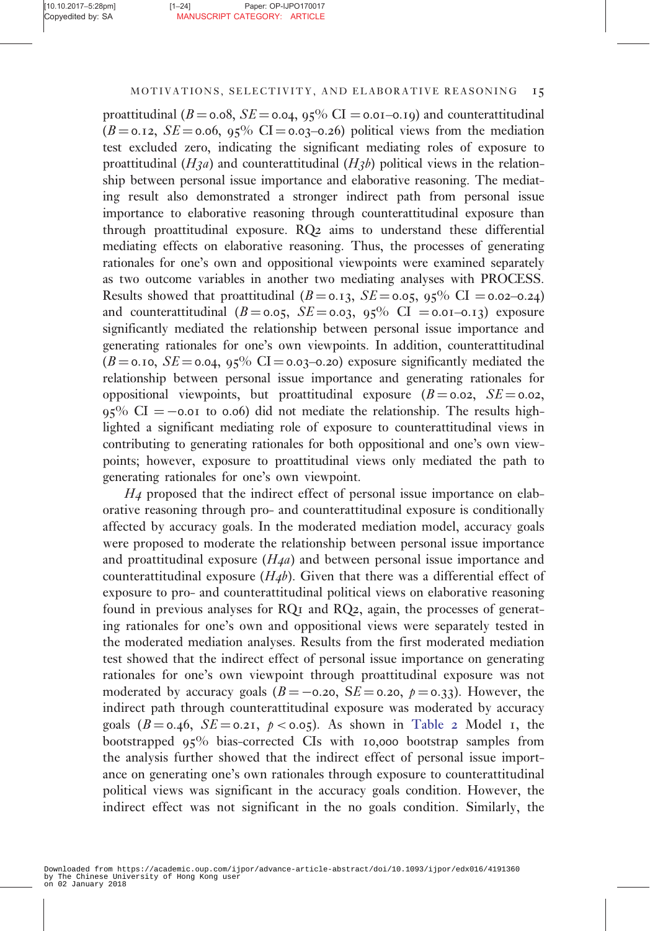proattitudinal ( $B = 0.08$ ,  $SE = 0.04$ ,  $95\%$  CI = 0.01–0.19) and counterattitudinal  $(B=0.12, SE=0.06, 95\% \text{ CI} = 0.03-0.26)$  political views from the mediation test excluded zero, indicating the significant mediating roles of exposure to proattitudinal ( $H_3a$ ) and counterattitudinal ( $H_3b$ ) political views in the relationship between personal issue importance and elaborative reasoning. The mediating result also demonstrated a stronger indirect path from personal issue importance to elaborative reasoning through counterattitudinal exposure than through proattitudinal exposure. RQ2 aims to understand these differential mediating effects on elaborative reasoning. Thus, the processes of generating rationales for one's own and oppositional viewpoints were examined separately as two outcome variables in another two mediating analyses with PROCESS. Results showed that proattitudinal  $(B = 0.13, SE = 0.05, 95\% \text{ CI} = 0.02 - 0.24)$ and counterattitudinal  $(B = 0.05, SE = 0.03, 95\% \text{ CI} = 0.01 - 0.13)$  exposure significantly mediated the relationship between personal issue importance and generating rationales for one's own viewpoints. In addition, counterattitudinal  $(B = 0.10, SE = 0.04, 95\% \text{ CI} = 0.03 - 0.20)$  exposure significantly mediated the relationship between personal issue importance and generating rationales for oppositional viewpoints, but proattitudinal exposure  $(B = 0.02, S E = 0.02,$  $95\%$  CI =  $-0.01$  to 0.06) did not mediate the relationship. The results highlighted a significant mediating role of exposure to counterattitudinal views in contributing to generating rationales for both oppositional and one's own viewpoints; however, exposure to proattitudinal views only mediated the path to generating rationales for one's own viewpoint.

 $H_4$  proposed that the indirect effect of personal issue importance on elaborative reasoning through pro- and counterattitudinal exposure is conditionally affected by accuracy goals. In the moderated mediation model, accuracy goals were proposed to moderate the relationship between personal issue importance and proattitudinal exposure  $(H<sub>4</sub>a)$  and between personal issue importance and counterattitudinal exposure  $(H_4b)$ . Given that there was a differential effect of exposure to pro- and counterattitudinal political views on elaborative reasoning found in previous analyses for RQ1 and RQ2, again, the processes of generating rationales for one's own and oppositional views were separately tested in the moderated mediation analyses. Results from the first moderated mediation test showed that the indirect effect of personal issue importance on generating rationales for one's own viewpoint through proattitudinal exposure was not moderated by accuracy goals ( $B = -0.20$ ,  $SE = 0.20$ ,  $p = 0.33$ ). However, the indirect path through counterattitudinal exposure was moderated by accuracy goals  $(B = 0.46, SE = 0.21, p < 0.05)$ . As shown in [Table](#page-15-0) 2 Model 1, the bootstrapped 95% bias-corrected CIs with 10,000 bootstrap samples from the analysis further showed that the indirect effect of personal issue importance on generating one's own rationales through exposure to counterattitudinal political views was significant in the accuracy goals condition. However, the indirect effect was not significant in the no goals condition. Similarly, the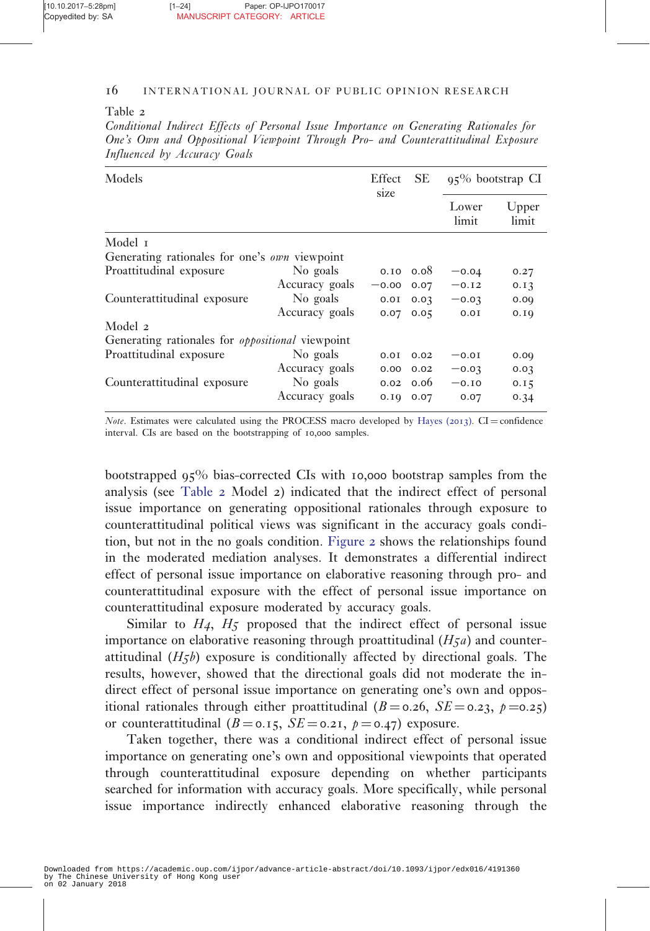<span id="page-15-0"></span>Table 2

|                              | Conditional Indirect Effects of Personal Issue Importance on Generating Rationales for |
|------------------------------|----------------------------------------------------------------------------------------|
|                              | One's Own and Oppositional Viewpoint Through Pro- and Counterattitudinal Exposure      |
| Influenced by Accuracy Goals |                                                                                        |

| Models                                                  |                | Effect<br>size | <b>SE</b>         | $95\%$ bootstrap CI |                |
|---------------------------------------------------------|----------------|----------------|-------------------|---------------------|----------------|
|                                                         |                |                |                   | Lower<br>limit      | Upper<br>limit |
| Model 1                                                 |                |                |                   |                     |                |
| Generating rationales for one's <i>own</i> viewpoint    |                |                |                   |                     |                |
| Proattitudinal exposure                                 | No goals       |                | $0.10 \quad 0.08$ | $-0.04$             | 0.27           |
|                                                         | Accuracy goals | $-0.00$        | 0.07              | $-0.12$             | 0.13           |
| Counterattitudinal exposure                             | No goals       | 0.01           | 0.03              | $-0.03$             | 0.00           |
|                                                         | Accuracy goals | 0.07           | 0.05              | 0.01                | 0.10           |
| Model 2                                                 |                |                |                   |                     |                |
| Generating rationales for <i>oppositional</i> viewpoint |                |                |                   |                     |                |
| Proattitudinal exposure                                 | No goals       | 0.01           | 0.02              | $-0.01$             | 0.00           |
|                                                         | Accuracy goals | 0.00           | 0.02              | $-0.03$             | 0.03           |
| Counterattitudinal exposure                             | No goals       |                | $0.02 \quad 0.06$ | $-0.10$             | 0.15           |
|                                                         | Accuracy goals | 0.10           | 0.07              | 0.07                | 0.34           |

*Note.* Estimates were calculated using the PROCESS macro developed by [Hayes \(](#page-21-0)2013). CI = confidence interval. CIs are based on the bootstrapping of 10,000 samples.

bootstrapped 95% bias-corrected CIs with 10,000 bootstrap samples from the analysis (see Table 2 Model 2) indicated that the indirect effect of personal issue importance on generating oppositional rationales through exposure to counterattitudinal political views was significant in the accuracy goals condition, but not in the no goals condition. Figure 2 shows the relationships found in the moderated mediation analyses. It demonstrates a differential indirect effect of personal issue importance on elaborative reasoning through pro- and counterattitudinal exposure with the effect of personal issue importance on counterattitudinal exposure moderated by accuracy goals.

Similar to  $H_4$ ,  $H_5$  proposed that the indirect effect of personal issue importance on elaborative reasoning through proattitudinal  $(H<sub>5a</sub>)$  and counterattitudinal  $(H<sub>5</sub>b)$  exposure is conditionally affected by directional goals. The results, however, showed that the directional goals did not moderate the indirect effect of personal issue importance on generating one's own and oppositional rationales through either proattitudinal  $(B = 0.26, SE = 0.23, p = 0.25)$ or counterattitudinal  $(B = 0.15, SE = 0.21, p = 0.47)$  exposure.

Taken together, there was a conditional indirect effect of personal issue importance on generating one's own and oppositional viewpoints that operated through counterattitudinal exposure depending on whether participants searched for information with accuracy goals. More specifically, while personal issue importance indirectly enhanced elaborative reasoning through the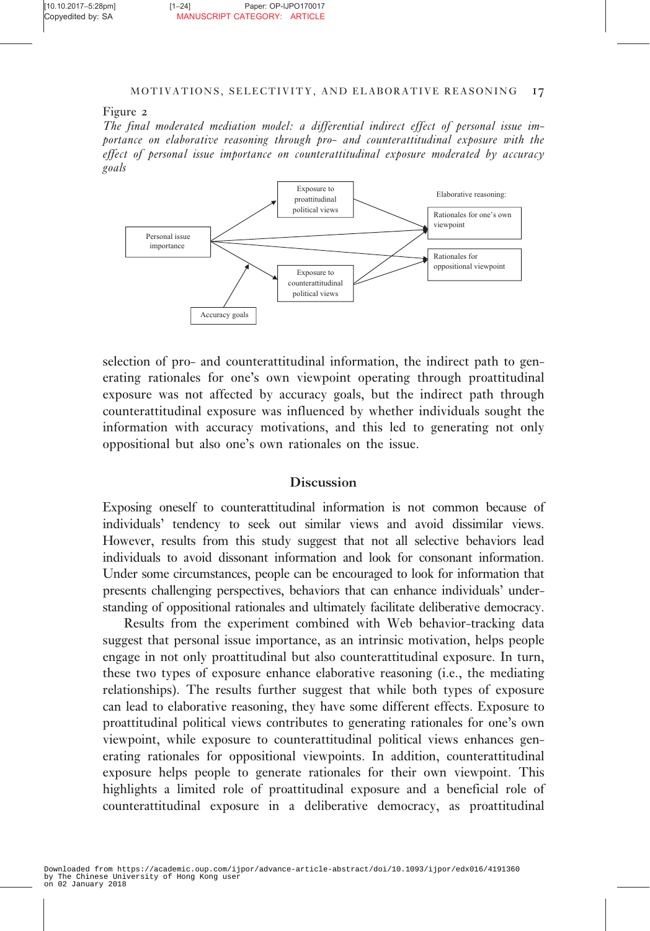#### Figure 2

The final moderated mediation model: a differential indirect effect of personal issue importance on elaborative reasoning through pro- and counterattitudinal exposure with the effect of personal issue importance on counterattitudinal exposure moderated by accuracy goals



selection of pro- and counterattitudinal information, the indirect path to generating rationales for one's own viewpoint operating through proattitudinal exposure was not affected by accuracy goals, but the indirect path through counterattitudinal exposure was influenced by whether individuals sought the information with accuracy motivations, and this led to generating not only oppositional but also one's own rationales on the issue.

### Discussion

Exposing oneself to counterattitudinal information is not common because of individuals' tendency to seek out similar views and avoid dissimilar views. However, results from this study suggest that not all selective behaviors lead individuals to avoid dissonant information and look for consonant information. Under some circumstances, people can be encouraged to look for information that presents challenging perspectives, behaviors that can enhance individuals' understanding of oppositional rationales and ultimately facilitate deliberative democracy.

Results from the experiment combined with Web behavior-tracking data suggest that personal issue importance, as an intrinsic motivation, helps people engage in not only proattitudinal but also counterattitudinal exposure. In turn, these two types of exposure enhance elaborative reasoning (i.e., the mediating relationships). The results further suggest that while both types of exposure can lead to elaborative reasoning, they have some different effects. Exposure to proattitudinal political views contributes to generating rationales for one's own viewpoint, while exposure to counterattitudinal political views enhances generating rationales for oppositional viewpoints. In addition, counterattitudinal exposure helps people to generate rationales for their own viewpoint. This highlights a limited role of proattitudinal exposure and a beneficial role of counterattitudinal exposure in a deliberative democracy, as proattitudinal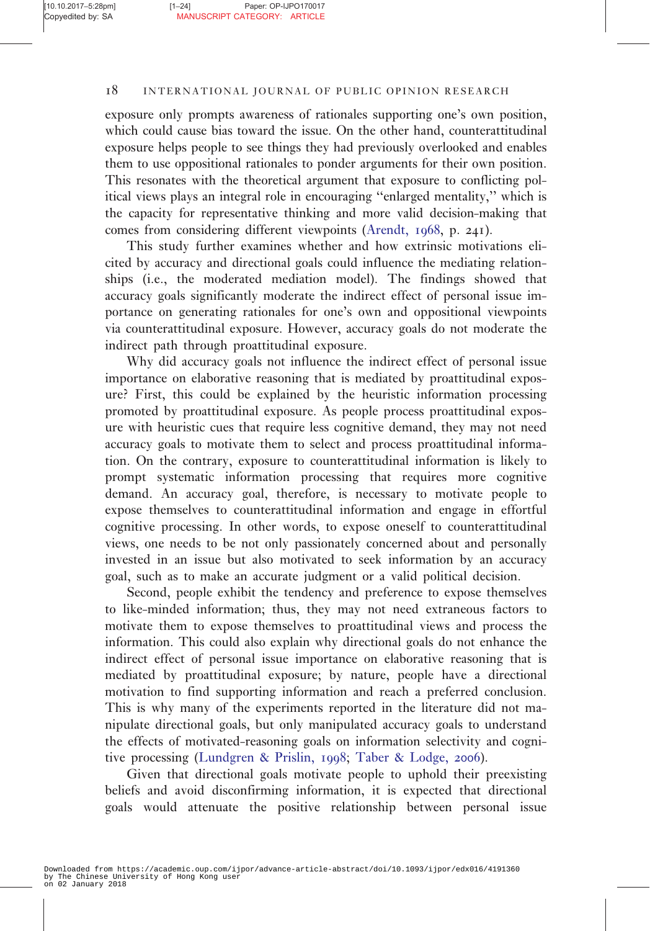exposure only prompts awareness of rationales supporting one's own position, which could cause bias toward the issue. On the other hand, counterattitudinal exposure helps people to see things they had previously overlooked and enables them to use oppositional rationales to ponder arguments for their own position. This resonates with the theoretical argument that exposure to conflicting political views plays an integral role in encouraging ''enlarged mentality,'' which is the capacity for representative thinking and more valid decision-making that comes from considering different viewpoints ([Arendt,](#page-20-0) 1968, p. 241).

This study further examines whether and how extrinsic motivations elicited by accuracy and directional goals could influence the mediating relationships (i.e., the moderated mediation model). The findings showed that accuracy goals significantly moderate the indirect effect of personal issue importance on generating rationales for one's own and oppositional viewpoints via counterattitudinal exposure. However, accuracy goals do not moderate the indirect path through proattitudinal exposure.

Why did accuracy goals not influence the indirect effect of personal issue importance on elaborative reasoning that is mediated by proattitudinal exposure? First, this could be explained by the heuristic information processing promoted by proattitudinal exposure. As people process proattitudinal exposure with heuristic cues that require less cognitive demand, they may not need accuracy goals to motivate them to select and process proattitudinal information. On the contrary, exposure to counterattitudinal information is likely to prompt systematic information processing that requires more cognitive demand. An accuracy goal, therefore, is necessary to motivate people to expose themselves to counterattitudinal information and engage in effortful cognitive processing. In other words, to expose oneself to counterattitudinal views, one needs to be not only passionately concerned about and personally invested in an issue but also motivated to seek information by an accuracy goal, such as to make an accurate judgment or a valid political decision.

Second, people exhibit the tendency and preference to expose themselves to like-minded information; thus, they may not need extraneous factors to motivate them to expose themselves to proattitudinal views and process the information. This could also explain why directional goals do not enhance the indirect effect of personal issue importance on elaborative reasoning that is mediated by proattitudinal exposure; by nature, people have a directional motivation to find supporting information and reach a preferred conclusion. This is why many of the experiments reported in the literature did not manipulate directional goals, but only manipulated accuracy goals to understand the effects of motivated-reasoning goals on information selectivity and cognitive processing ([Lundgren & Prislin,](#page-22-0) 1998; [Taber & Lodge,](#page-23-0) 2006).

Given that directional goals motivate people to uphold their preexisting beliefs and avoid disconfirming information, it is expected that directional goals would attenuate the positive relationship between personal issue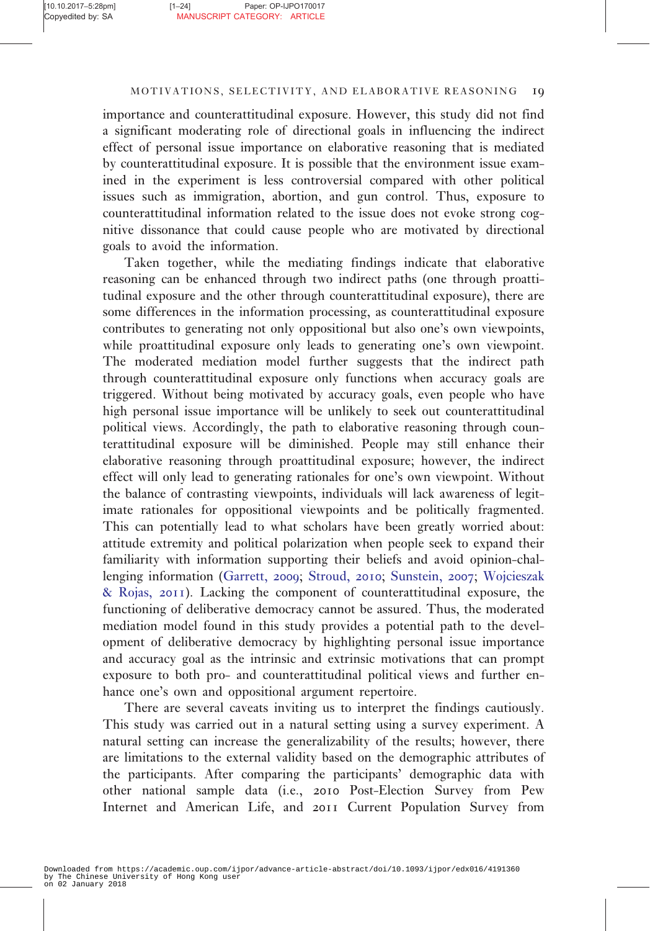importance and counterattitudinal exposure. However, this study did not find a significant moderating role of directional goals in influencing the indirect effect of personal issue importance on elaborative reasoning that is mediated by counterattitudinal exposure. It is possible that the environment issue examined in the experiment is less controversial compared with other political issues such as immigration, abortion, and gun control. Thus, exposure to counterattitudinal information related to the issue does not evoke strong cognitive dissonance that could cause people who are motivated by directional goals to avoid the information.

Taken together, while the mediating findings indicate that elaborative reasoning can be enhanced through two indirect paths (one through proattitudinal exposure and the other through counterattitudinal exposure), there are some differences in the information processing, as counterattitudinal exposure contributes to generating not only oppositional but also one's own viewpoints, while proattitudinal exposure only leads to generating one's own viewpoint. The moderated mediation model further suggests that the indirect path through counterattitudinal exposure only functions when accuracy goals are triggered. Without being motivated by accuracy goals, even people who have high personal issue importance will be unlikely to seek out counterattitudinal political views. Accordingly, the path to elaborative reasoning through counterattitudinal exposure will be diminished. People may still enhance their elaborative reasoning through proattitudinal exposure; however, the indirect effect will only lead to generating rationales for one's own viewpoint. Without the balance of contrasting viewpoints, individuals will lack awareness of legitimate rationales for oppositional viewpoints and be politically fragmented. This can potentially lead to what scholars have been greatly worried about: attitude extremity and political polarization when people seek to expand their familiarity with information supporting their beliefs and avoid opinion-challenging information ([Garrett,](#page-20-0) 2009; [Stroud,](#page-22-0) 2010; [Sunstein,](#page-23-0) 2007; [Wojcieszak](#page-23-0) [& Rojas,](#page-23-0) 2011). Lacking the component of counterattitudinal exposure, the functioning of deliberative democracy cannot be assured. Thus, the moderated mediation model found in this study provides a potential path to the development of deliberative democracy by highlighting personal issue importance and accuracy goal as the intrinsic and extrinsic motivations that can prompt exposure to both pro- and counterattitudinal political views and further enhance one's own and oppositional argument repertoire.

There are several caveats inviting us to interpret the findings cautiously. This study was carried out in a natural setting using a survey experiment. A natural setting can increase the generalizability of the results; however, there are limitations to the external validity based on the demographic attributes of the participants. After comparing the participants' demographic data with other national sample data (i.e., 2010 Post-Election Survey from Pew Internet and American Life, and 2011 Current Population Survey from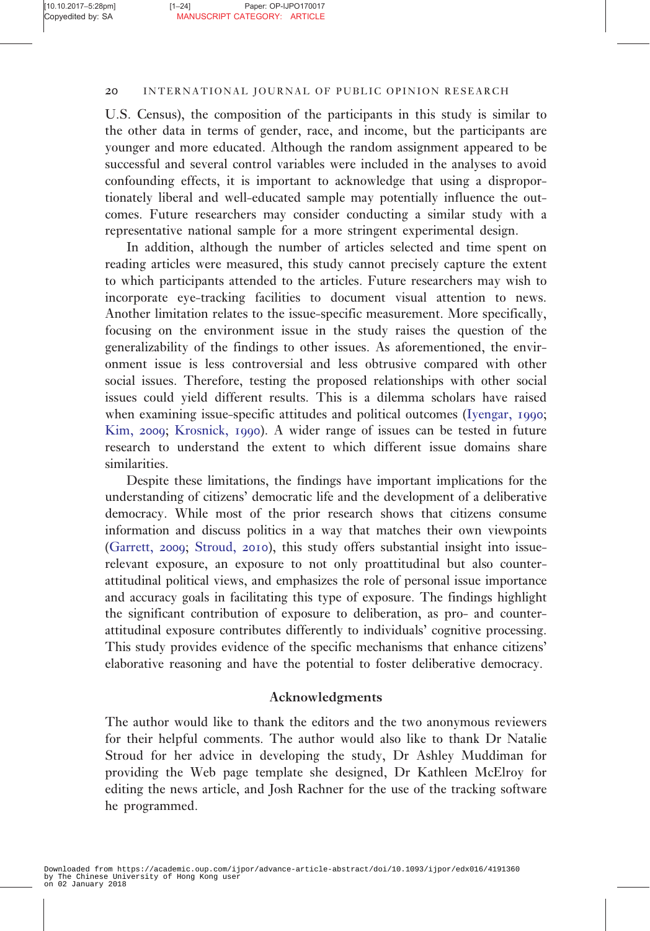U.S. Census), the composition of the participants in this study is similar to the other data in terms of gender, race, and income, but the participants are younger and more educated. Although the random assignment appeared to be successful and several control variables were included in the analyses to avoid confounding effects, it is important to acknowledge that using a disproportionately liberal and well-educated sample may potentially influence the outcomes. Future researchers may consider conducting a similar study with a representative national sample for a more stringent experimental design.

In addition, although the number of articles selected and time spent on reading articles were measured, this study cannot precisely capture the extent to which participants attended to the articles. Future researchers may wish to incorporate eye-tracking facilities to document visual attention to news. Another limitation relates to the issue-specific measurement. More specifically, focusing on the environment issue in the study raises the question of the generalizability of the findings to other issues. As aforementioned, the environment issue is less controversial and less obtrusive compared with other social issues. Therefore, testing the proposed relationships with other social issues could yield different results. This is a dilemma scholars have raised when examining issue-specific attitudes and political outcomes ([Iyengar,](#page-21-0) 1990; [Kim,](#page-21-0) 2009; [Krosnick,](#page-22-0) 1990). A wider range of issues can be tested in future research to understand the extent to which different issue domains share similarities.

Despite these limitations, the findings have important implications for the understanding of citizens' democratic life and the development of a deliberative democracy. While most of the prior research shows that citizens consume information and discuss politics in a way that matches their own viewpoints [\(Garrett,](#page-20-0) 2009; [Stroud,](#page-22-0) 2010), this study offers substantial insight into issuerelevant exposure, an exposure to not only proattitudinal but also counterattitudinal political views, and emphasizes the role of personal issue importance and accuracy goals in facilitating this type of exposure. The findings highlight the significant contribution of exposure to deliberation, as pro- and counterattitudinal exposure contributes differently to individuals' cognitive processing. This study provides evidence of the specific mechanisms that enhance citizens' elaborative reasoning and have the potential to foster deliberative democracy.

## Acknowledgments

The author would like to thank the editors and the two anonymous reviewers for their helpful comments. The author would also like to thank Dr Natalie Stroud for her advice in developing the study, Dr Ashley Muddiman for providing the Web page template she designed, Dr Kathleen McElroy for editing the news article, and Josh Rachner for the use of the tracking software he programmed.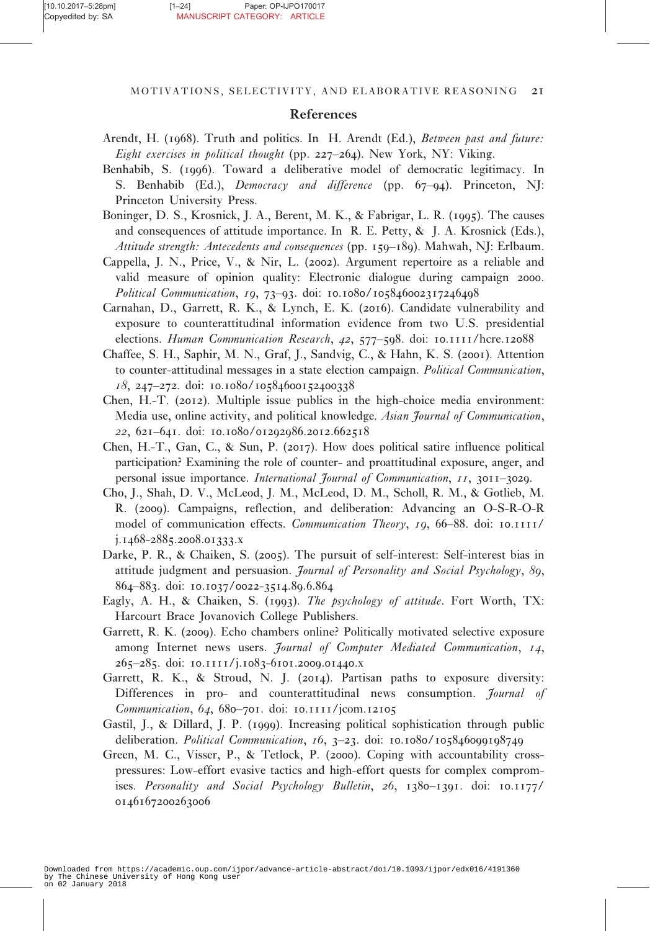#### References

- <span id="page-20-0"></span>Arendt, H. (1968). Truth and politics. In H. Arendt (Ed.), Between past and future: Eight exercises in political thought (pp. 227–264). New York, NY: Viking.
- Benhabib, S. (1996). Toward a deliberative model of democratic legitimacy. In S. Benhabib (Ed.), *Democracy and difference* (pp. 67–94). Princeton, NJ: Princeton University Press.
- Boninger, D. S., Krosnick, J. A., Berent, M. K., & Fabrigar, L. R. (1995). The causes and consequences of attitude importance. In R. E. Petty, & J. A. Krosnick (Eds.), Attitude strength: Antecedents and consequences (pp. 159–189). Mahwah, NJ: Erlbaum.
- Cappella, J. N., Price, V., & Nir, L. (2002). Argument repertoire as a reliable and valid measure of opinion quality: Electronic dialogue during campaign 2000. Political Communication, 19, 73-93. doi: 10.1080/105846002317246498
- Carnahan, D., Garrett, R. K., & Lynch, E. K. (2016). Candidate vulnerability and exposure to counterattitudinal information evidence from two U.S. presidential elections. Human Communication Research, 42, 577-598. doi: 10.1111/hcre.12088
- Chaffee, S. H., Saphir, M. N., Graf, J., Sandvig, C., & Hahn, K. S. (2001). Attention to counter-attitudinal messages in a state election campaign. Political Communication, 18, 247–272. doi: 10.1080/10584600152400338
- Chen, H.-T. (2012). Multiple issue publics in the high-choice media environment: Media use, online activity, and political knowledge. Asian Journal of Communication, 22, 621–641. doi: 10.1080/01292986.2012.662518
- Chen, H.-T., Gan, C., & Sun, P. (2017). How does political satire influence political participation? Examining the role of counter- and proattitudinal exposure, anger, and personal issue importance. International Journal of Communication, 11, 3011–3029.
- Cho, J., Shah, D. V., McLeod, J. M., McLeod, D. M., Scholl, R. M., & Gotlieb, M. R. (2009). Campaigns, reflection, and deliberation: Advancing an O-S-R-O-R model of communication effects. Communication Theory, 19, 66–88. doi: 10.1111/ j.1468-2885.2008.01333.x
- Darke, P. R., & Chaiken, S. (2005). The pursuit of self-interest: Self-interest bias in attitude judgment and persuasion. Journal of Personality and Social Psychology, 89, 864–883. doi: 10.1037/0022-3514.89.6.864
- Eagly, A. H., & Chaiken, S. (1993). The psychology of attitude. Fort Worth, TX: Harcourt Brace Jovanovich College Publishers.
- Garrett, R. K. (2009). Echo chambers online? Politically motivated selective exposure among Internet news users. Journal of Computer Mediated Communication, 14, 265–285. doi: 10.1111/j.1083-6101.2009.01440.x
- Garrett, R. K., & Stroud, N. J. (2014). Partisan paths to exposure diversity: Differences in pro- and counterattitudinal news consumption. Journal of Communication, 64, 680–701. doi: 10.1111/jcom.12105
- Gastil, J., & Dillard, J. P. (1999). Increasing political sophistication through public deliberation. Political Communication, 16, 3-23. doi: 10.1080/105846099198749
- Green, M. C., Visser, P., & Tetlock, P. (2000). Coping with accountability crosspressures: Low-effort evasive tactics and high-effort quests for complex compromises. Personality and Social Psychology Bulletin, 26, 1380–1391. doi: 10.1177/ 0146167200263006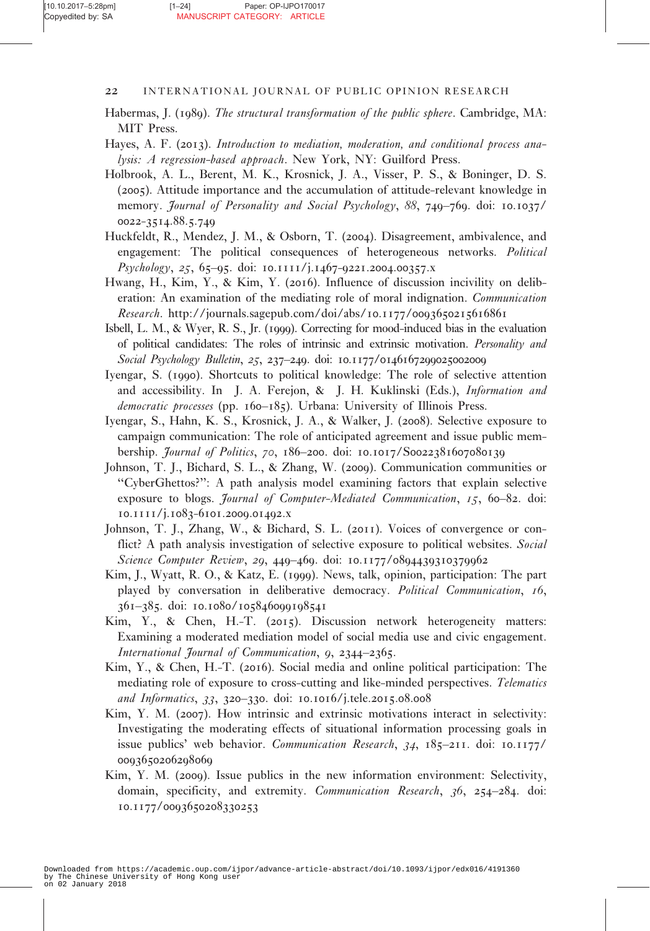#### <span id="page-21-0"></span>22 INTERNATIONAL JOURNAL OF PUBLIC OPINION RESEARCH

- Habermas, J. (1989). The structural transformation of the public sphere. Cambridge, MA: MIT Press.
- Hayes, A. F. (2013). Introduction to mediation, moderation, and conditional process analysis: A regression-based approach. New York, NY: Guilford Press.
- Holbrook, A. L., Berent, M. K., Krosnick, J. A., Visser, P. S., & Boninger, D. S. (2005). Attitude importance and the accumulation of attitude-relevant knowledge in memory. Journal of Personality and Social Psychology, 88, 749–769. doi: 10.1037/ 0022-3514.88.5.749
- Huckfeldt, R., Mendez, J. M., & Osborn, T. (2004). Disagreement, ambivalence, and engagement: The political consequences of heterogeneous networks. Political Psychology, 25, 65-95. doi: 10.1111/j.1467-9221.2004.00357.x
- Hwang, H., Kim, Y., & Kim, Y. (2016). Influence of discussion incivility on deliberation: An examination of the mediating role of moral indignation. Communication Research. http://journals.sagepub.com/doi/abs/10.1177/0093650215616861
- Isbell, L. M., & Wyer, R. S., Jr. (1999). Correcting for mood-induced bias in the evaluation of political candidates: The roles of intrinsic and extrinsic motivation. Personality and Social Psychology Bulletin, 25, 237-249. doi: 10.1177/0146167299025002009
- Iyengar, S. (1990). Shortcuts to political knowledge: The role of selective attention and accessibility. In J. A. Ferejon, & J. H. Kuklinski (Eds.), Information and democratic processes (pp. 160-185). Urbana: University of Illinois Press.
- Iyengar, S., Hahn, K. S., Krosnick, J. A., & Walker, J. (2008). Selective exposure to campaign communication: The role of anticipated agreement and issue public membership. Journal of Politics, 70, 186-200. doi: 10.1017/S0022381607080139
- Johnson, T. J., Bichard, S. L., & Zhang, W. (2009). Communication communities or ''CyberGhettos?'': A path analysis model examining factors that explain selective exposure to blogs. *Journal of Computer-Mediated Communication*, 15, 60–82. doi: 10.1111/j.1083-6101.2009.01492.x
- Johnson, T. J., Zhang, W., & Bichard, S. L. (2011). Voices of convergence or conflict? A path analysis investigation of selective exposure to political websites. Social Science Computer Review, 29, 449–469. doi: 10.1177/0894439310379962
- Kim, J., Wyatt, R. O., & Katz, E. (1999). News, talk, opinion, participation: The part played by conversation in deliberative democracy. Political Communication, 16, 361–385. doi: 10.1080/105846099198541
- Kim, Y., & Chen, H.-T. (2015). Discussion network heterogeneity matters: Examining a moderated mediation model of social media use and civic engagement. International Journal of Communication, 9, 2344–2365.
- Kim, Y., & Chen, H.-T. (2016). Social media and online political participation: The mediating role of exposure to cross-cutting and like-minded perspectives. Telematics and Informatics, 33, 320–330. doi: 10.1016/j.tele.2015.08.008
- Kim, Y. M. (2007). How intrinsic and extrinsic motivations interact in selectivity: Investigating the moderating effects of situational information processing goals in issue publics' web behavior. Communication Research, 34, 185–211. doi: 10.1177/ 0093650206298069
- Kim, Y. M. (2009). Issue publics in the new information environment: Selectivity, domain, specificity, and extremity. Communication Research, 36, 254-284. doi: 10.1177/0093650208330253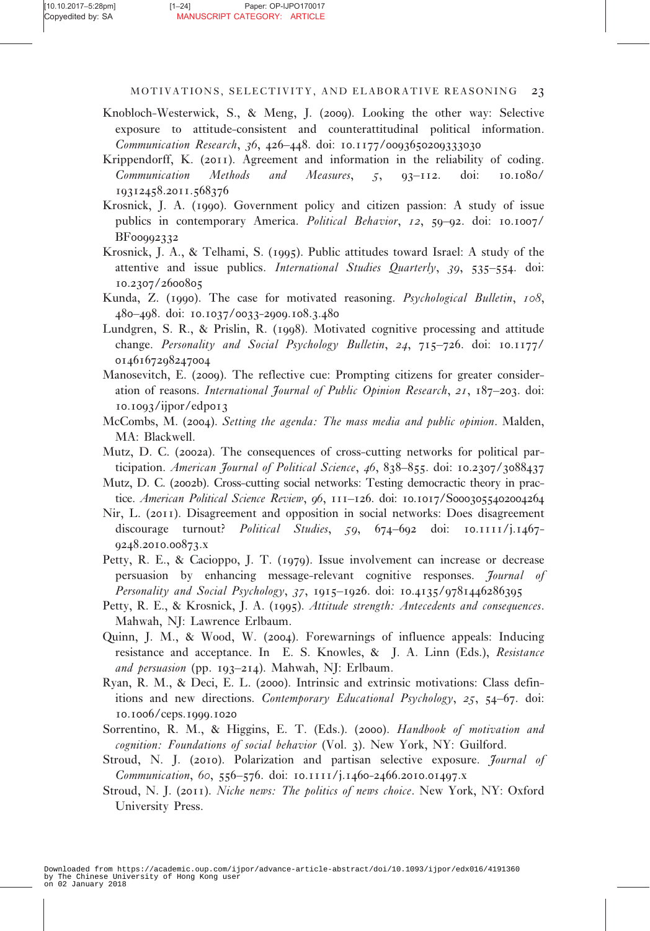- <span id="page-22-0"></span>Knobloch-Westerwick, S., & Meng, J. (2009). Looking the other way: Selective exposure to attitude-consistent and counterattitudinal political information. Communication Research, 36, 426–448. doi: 10.1177/0093650209333030
- Krippendorff, K. (2011). Agreement and information in the reliability of coding. Communication Methods and Measures, 5, 93–112. doi: 10.1080/ 19312458.2011.568376
- Krosnick, J. A. (1990). Government policy and citizen passion: A study of issue publics in contemporary America. Political Behavior, 12, 59-92. doi: 10.1007/ BF00992332
- Krosnick, J. A., & Telhami, S. (1995). Public attitudes toward Israel: A study of the attentive and issue publics. International Studies Quarterly, 39, 535-554. doi: 10.2307/2600805
- Kunda, Z. (1990). The case for motivated reasoning. *Psychological Bulletin*, 108, 480–498. doi: 10.1037/0033-2909.108.3.480
- Lundgren, S. R., & Prislin, R. (1998). Motivated cognitive processing and attitude change. Personality and Social Psychology Bulletin, 24, 715–726. doi: 10.1177/ 0146167298247004
- Manosevitch, E. (2009). The reflective cue: Prompting citizens for greater consideration of reasons. International Journal of Public Opinion Research, 21, 187-203. doi: 10.1093/ijpor/edp013
- McCombs, M. (2004). Setting the agenda: The mass media and public opinion. Malden, MA: Blackwell.
- Mutz, D. C. (2002a). The consequences of cross-cutting networks for political participation. American Journal of Political Science, 46, 838–855. doi: 10.2307/3088437
- Mutz, D. C. (2002b). Cross-cutting social networks: Testing democractic theory in practice. American Political Science Review, 96, 111–126. doi: 10.1017/S0003055402004264
- Nir, L. (2011). Disagreement and opposition in social networks: Does disagreement discourage turnout? Political Studies, 59, 674-692 doi: 10.1111/j.1467-9248.2010.00873.x
- Petty, R. E., & Cacioppo, J. T. (1979). Issue involvement can increase or decrease persuasion by enhancing message-relevant cognitive responses. Journal of Personality and Social Psychology, 37, 1915–1926. doi: 10.4135/9781446286395
- Petty, R. E., & Krosnick, J. A. (1995). Attitude strength: Antecedents and consequences. Mahwah, NJ: Lawrence Erlbaum.
- Quinn, J. M., & Wood, W. (2004). Forewarnings of influence appeals: Inducing resistance and acceptance. In E. S. Knowles, & J. A. Linn (Eds.), Resistance and persuasion (pp. 193–214). Mahwah, NJ: Erlbaum.
- Ryan, R. M., & Deci, E. L. (2000). Intrinsic and extrinsic motivations: Class definitions and new directions. Contemporary Educational Psychology, 25, 54–67. doi: 10.1006/ceps.1999.1020
- Sorrentino, R. M., & Higgins, E. T. (Eds.). (2000). Handbook of motivation and cognition: Foundations of social behavior (Vol. 3). New York, NY: Guilford.
- Stroud, N. J. (2010). Polarization and partisan selective exposure. Journal of Communication, 60, 556–576. doi: 10.1111/j.1460-2466.2010.01497.x
- Stroud, N. J. (2011). Niche news: The politics of news choice. New York, NY: Oxford University Press.